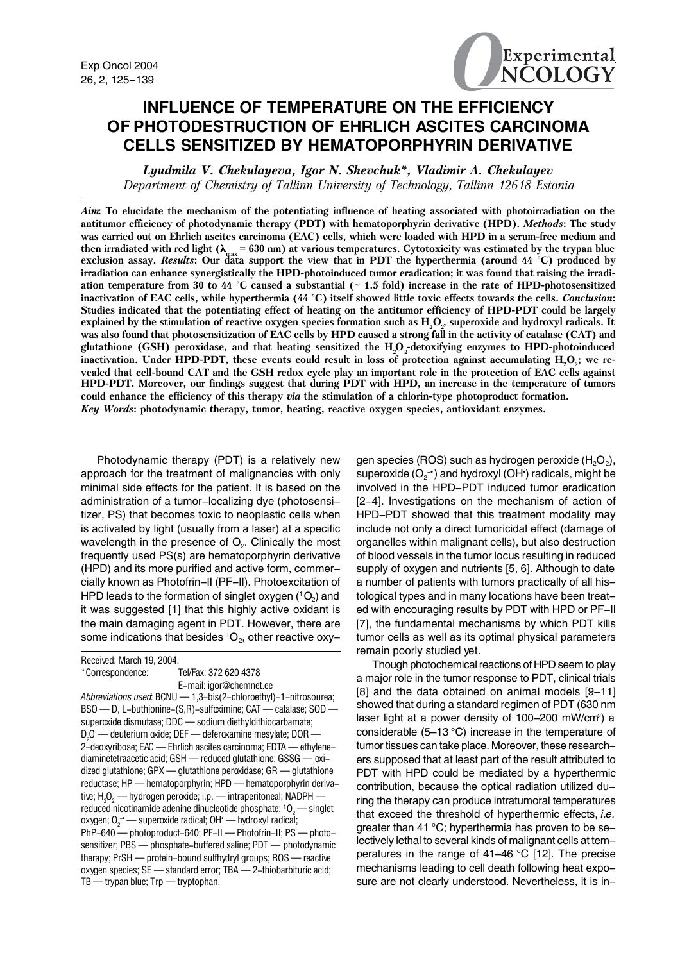

# **INFLUENCE OF TEMPERATURE ON THE EFFICIENCY OF PHOTODESTRUCTION OF EHRLICH ASCITES CARCINOMA CELLS SENSITIZED BY HEMATOPORPHYRIN DERIVATIVE**

*Lyudmila V. Chekulayeva, Igor N. Shevchuk\*, Vladimir A. Chekulayev Department of Chemistry of Tallinn University of Technology, Tallinn 12618 Estonia*

*Aim***: To elucidate the mechanism of the potentiating influence of heating associated with photoirradiation on the antitumor efficiency of photodynamic therapy (PDT) with hematoporphyrin derivative (HPD).** *Methods***: The study was carried out on Ehrlich ascites carcinoma (EAC) cells, which were loaded with HPD in a serum-free medium and** then irradiated with red light ( $\lambda_{\text{max}}$  = 630 nm) at various temperatures. Cytotoxicity was estimated by the trypan blue<br>exclusion assay. *Results*: Our data support the view that in PDT the hyperthermia (around 44 °C) **irradiation can enhance synergistically the HPD-photoinduced tumor eradication; it was found that raising the irradiation temperature from 30 to 44 °C caused a substantial (~ 1.5 fold) increase in the rate of HPD-photosensitized inactivation of EAC cells, while hyperthermia (44 °C) itself showed little toxic effects towards the cells.** *Conclusion***: Studies indicated that the potentiating effect of heating on the antitumor efficiency of HPD-PDT could be largely**  $e$ xplained by the stimulation of reactive oxygen species formation such as  $\rm H_2O_\nu$  superoxide and hydroxyl radicals. It **was also found that photosensitization of EAC cells by HPD caused a strong fall in the activity of catalase (CAT) and** glutathione (GSH) peroxidase, and that heating sensitized the  $\rm H_2O_2$ -detoxifying enzymes to HPD-photoinduced inactivation. Under HPD-PDT, these events could result in loss of protection against accumulating H<sub>2</sub>O<sub>2</sub>; we re**vealed that cell-bound CAT and the GSH redox cycle play an important role in the protection of EAC cells against HPD-PDT. Moreover, our findings suggest that during PDT with HPD, an increase in the temperature of tumors could enhance the efficiency of this therapy** *via* **the stimulation of a chlorin-type photoproduct formation.** *Key Words***: photodynamic therapy, tumor, heating, reactive oxygen species, antioxidant enzymes.**

Photodynamic therapy (PDT) is a relatively new approach for the treatment of malignancies with only minimal side effects for the patient. It is based on the administration of a tumor-localizing dye (photosensitizer, PS) that becomes toxic to neoplastic cells when is activated by light (usually from a laser) at a specific wavelength in the presence of  $O<sub>2</sub>$ . Clinically the most frequently used PS(s) are hematoporphyrin derivative (HPD) and its more purified and active form, commercially known as Photofrin-II (PF-II). Photoexcitation of HPD leads to the formation of singlet oxygen  $(^1O_2)$  and it was suggested [1] that this highly active oxidant is the main damaging agent in PDT. However, there are some indications that besides  ${}^{1}O_{2}$ , other reactive oxy-

Received: March 19, 2004.

\*Correspondence: Tel/Fax: 372 620 4378 E-mail: igor@chemnet.ee

*Abbreviations used*: BCNU — 1,3-bis(2-chloroethyl)-1-nitrosourea; BSO — D, L-buthionine-(S,R)-sulfoximine; CAT — catalase; SOD superoxide dismutase; DDC — sodium diethyldithiocarbamate;  $\texttt{D}_\textit{2} \texttt{O}$  — deuterium oxide; DEF — deferoxamine mesylate; DOR — 2-deoxyribose; EAC — Ehrlich ascites carcinoma; EDTA — ethylenediaminetetraacetic acid; GSH — reduced glutathione; GSSG — oxidized glutathione; GPX — glutathione peroxidase; GR — glutathione reductase; HP — hematoporphyrin; HPD — hematoporphyrin derivative; H $_{\rm 2}$ O $_{\rm 2}$  — hydrogen peroxide; i.p. — intraperitoneal; NADPH reduced nicotinamide adenine dinucleotide phosphate;  $^1$ O<sub>2</sub> — singlet oxygen; O $\frac{1}{2}$  — superoxide radical; OH $^{\star}$  — hydroxyl radical; PhP-640 - photoproduct-640; PF-II - Photofrin-II; PS - photosensitizer; PBS — phosphate-buffered saline; PDT — photodynamic therapy; PrSH — protein-bound sulfhydryl groups; ROS — reactive oxygen species; SE — standard error; TBA — 2-thiobarbituric acid; TB — trypan blue; Trp — tryptophan.

gen species (ROS) such as hydrogen peroxide  $(H_2O_2)$ , superoxide ( $O_2$ - $\cdot$ ) and hydroxyl (OH $\cdot$ ) radicals, might be involved in the HPD-PDT induced tumor eradication [2–4]. Investigations on the mechanism of action of HPD-PDT showed that this treatment modality may include not only a direct tumoricidal effect (damage of organelles within malignant cells), but also destruction of blood vessels in the tumor locus resulting in reduced supply of oxygen and nutrients [5, 6]. Although to date a number of patients with tumors practically of all histological types and in many locations have been treated with encouraging results by PDT with HPD or PF-II [7], the fundamental mechanisms by which PDT kills tumor cells as well as its optimal physical parameters remain poorly studied yet.

Though photochemical reactions of HPD seem to play a major role in the tumor response to PDT, clinical trials [8] and the data obtained on animal models [9–11] showed that during a standard regimen of PDT (630 nm laser light at a power density of 100-200 mW/cm<sup>2</sup>) a considerable (5–13 °C) increase in the temperature of tumor tissues can take place. Moreover, these researchers supposed that at least part of the result attributed to PDT with HPD could be mediated by a hyperthermic contribution, because the optical radiation utilized during the therapy can produce intratumoral temperatures that exceed the threshold of hyperthermic effects, *i.e.* greater than 41 °C; hyperthermia has proven to be selectively lethal to several kinds of malignant cells at temperatures in the range of 41–46 °C [12]. The precise mechanisms leading to cell death following heat exposure are not clearly understood. Nevertheless, it is in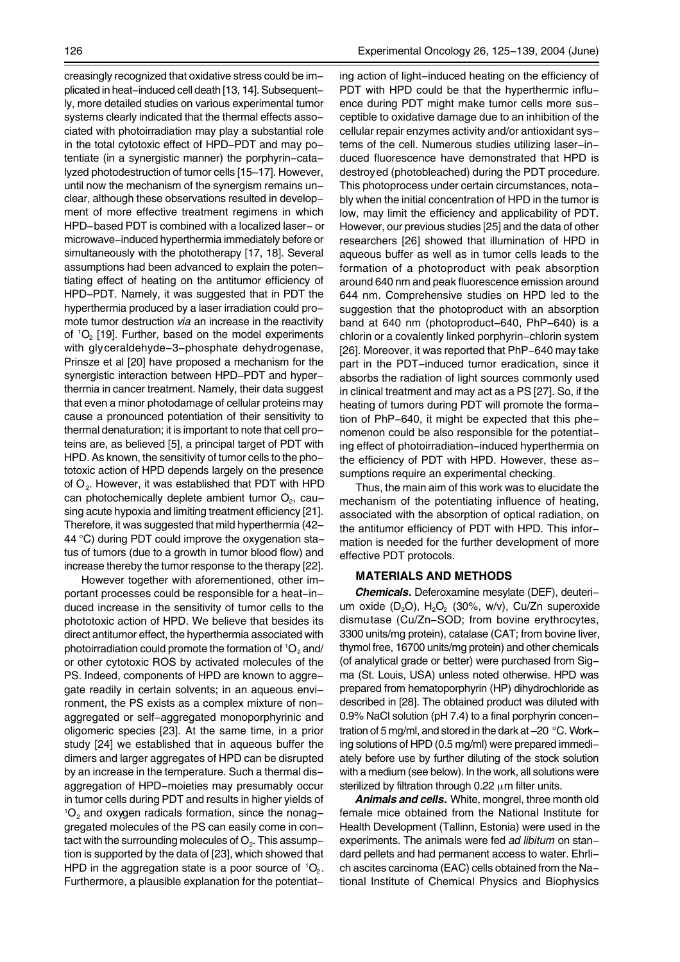creasingly recognized that oxidative stress could be implicated in heat-induced cell death [13, 14]. Subsequently, more detailed studies on various experimental tumor systems clearly indicated that the thermal effects associated with photoirradiation may play a substantial role in the total cytotoxic effect of HPD-PDT and may potentiate (in a synergistic manner) the porphyrin-catalyzed photodestruction of tumor cells [15–17]. However, until now the mechanism of the synergism remains unclear, although these observations resulted in development of more effective treatment regimens in which HPD-based PDT is combined with a localized laser- or microwave-induced hyperthermia immediately before or simultaneously with the phototherapy [17, 18]. Several assumptions had been advanced to explain the potentiating effect of heating on the antitumor efficiency of HPD-PDT. Namely, it was suggested that in PDT the hyperthermia produced by a laser irradiation could promote tumor destruction *via* an increase in the reactivity of  ${}^{1}O_{2}$  [19]. Further, based on the model experiments with glyceraldehyde-3-phosphate dehydrogenase, Prinsze et al [20] have proposed a mechanism for the synergistic interaction between HPD-PDT and hyperthermia in cancer treatment. Namely, their data suggest that even a minor photodamage of cellular proteins may cause a pronounced potentiation of their sensitivity to thermal denaturation; it is important to note that cell proteins are, as believed [5], a principal target of PDT with HPD. As known, the sensitivity of tumor cells to the phototoxic action of HPD depends largely on the presence of  $O_2$ . However, it was established that PDT with HPD can photochemically deplete ambient tumor  $O<sub>2</sub>$ , causing acute hypoxia and limiting treatment efficiency [21]. Therefore, it was suggested that mild hyperthermia (42– 44 °C) during PDT could improve the oxygenation status of tumors (due to a growth in tumor blood flow) and increase thereby the tumor response to the therapy [22].

However together with aforementioned, other important processes could be responsible for a heat-induced increase in the sensitivity of tumor cells to the phototoxic action of HPD. We believe that besides its direct antitumor effect, the hyperthermia associated with photoirradiation could promote the formation of  ${}^{1}O_{2}$  and/ or other cytotoxic ROS by activated molecules of the PS. Indeed, components of HPD are known to aggregate readily in certain solvents; in an aqueous environment, the PS exists as a complex mixture of nonaggregated or self-aggregated monoporphyrinic and oligomeric species [23]. At the same time, in a prior study [24] we established that in aqueous buffer the dimers and larger aggregates of HPD can be disrupted by an increase in the temperature. Such a thermal disaggregation of HPD-moieties may presumably occur in tumor cells during PDT and results in higher yields of  $10<sub>2</sub>$  and oxygen radicals formation, since the nonaggregated molecules of the PS can easily come in contact with the surrounding molecules of  $O<sub>2</sub>$ . This assumption is supported by the data of [23], which showed that HPD in the aggregation state is a poor source of  ${}^{1}O_{2}$ . Furthermore, a plausible explanation for the potentiat-

ing action of light-induced heating on the efficiency of PDT with HPD could be that the hyperthermic influence during PDT might make tumor cells more susceptible to oxidative damage due to an inhibition of the cellular repair enzymes activity and/or antioxidant systems of the cell. Numerous studies utilizing laser-induced fluorescence have demonstrated that HPD is destroyed (photobleached) during the PDT procedure. This photoprocess under certain circumstances, notably when the initial concentration of HPD in the tumor is low, may limit the efficiency and applicability of PDT. However, our previous studies [25] and the data of other researchers [26] showed that illumination of HPD in aqueous buffer as well as in tumor cells leads to the formation of a photoproduct with peak absorption around 640 nm and peak fluorescence emission around 644 nm. Comprehensive studies on HPD led to the suggestion that the photoproduct with an absorption band at 640 nm (photoproduct-640, PhP-640) is a chlorin or a covalently linked porphyrin-chlorin system [26]. Moreover, it was reported that PhP-640 may take part in the PDT-induced tumor eradication, since it absorbs the radiation of light sources commonly used in clinical treatment and may act as a PS [27]. So, if the heating of tumors during PDT will promote the formation of PhP-640, it might be expected that this phenomenon could be also responsible for the potentiating effect of photoirradiation-induced hyperthermia on the efficiency of PDT with HPD. However, these assumptions require an experimental checking.

Thus, the main aim of this work was to elucidate the mechanism of the potentiating influence of heating, associated with the absorption of optical radiation, on the antitumor efficiency of PDT with HPD. This information is needed for the further development of more effective PDT protocols.

### **MATERIALS AND METHODS**

*Chemicals.* Deferoxamine mesylate (DEF), deuterium oxide  $(D_2O)$ , H<sub>2</sub>O<sub>2</sub> (30%, w/v), Cu/Zn superoxide dismutase (Cu/Zn-SOD; from bovine erythrocytes, 3300 units/mg protein), catalase (CAT; from bovine liver, thymol free, 16700 units/mg protein) and other chemicals (of analytical grade or better) were purchased from Sigma (St. Louis, USA) unless noted otherwise. HPD was prepared from hematoporphyrin (HP) dihydrochloride as described in [28]. The obtained product was diluted with 0.9% NaCl solution (pH 7.4) to a final porphyrin concentration of 5 mg/ml, and stored in the dark at –20 °C. Working solutions of HPD (0.5 mg/ml) were prepared immediately before use by further diluting of the stock solution with a medium (see below). In the work, all solutions were sterilized by filtration through  $0.22 \mu m$  filter units.

*Animals and cells.* White, mongrel, three month old female mice obtained from the National Institute for Health Development (Tallinn, Estonia) were used in the experiments. The animals were fed *ad libitum* on standard pellets and had permanent access to water. Ehrlich ascites carcinoma (EAC) cells obtained from the National Institute of Chemical Physics and Biophysics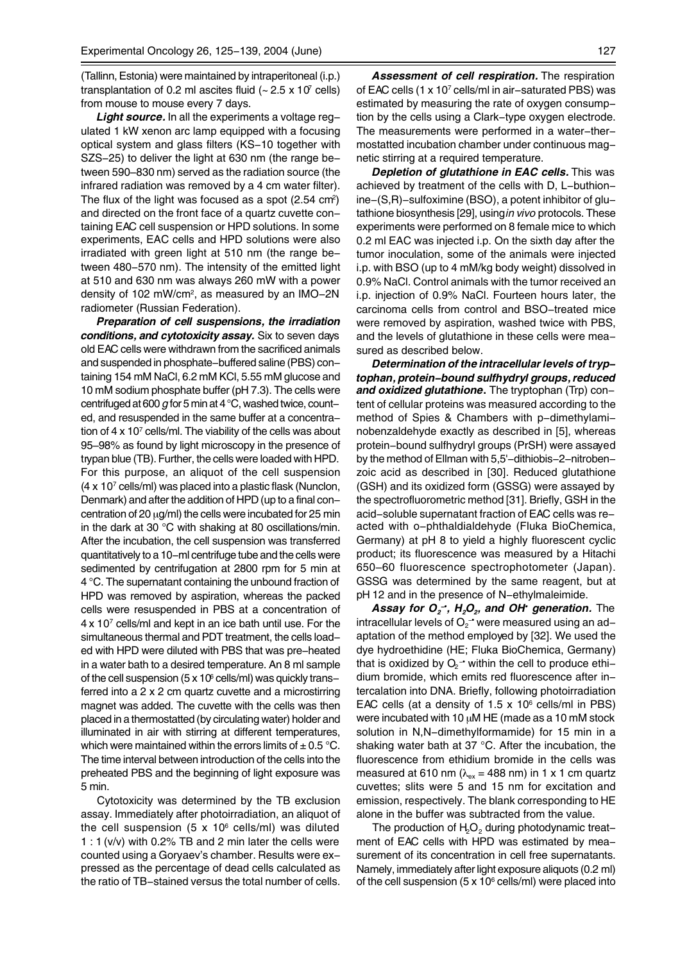(Tallinn, Estonia) were maintained by intraperitoneal (i.p.) transplantation of 0.2 ml ascites fluid  $(-2.5 \times 10^7 \text{ cells})$ from mouse to mouse every 7 days.

*Light source.* In all the experiments a voltage regulated 1 kW xenon arc lamp equipped with a focusing optical system and glass filters (KS-10 together with SZS-25) to deliver the light at 630 nm (the range between 590–830 nm) served as the radiation source (the infrared radiation was removed by a 4 cm water filter). The flux of the light was focused as a spot (2.54 cm<sup>2</sup>) and directed on the front face of a quartz cuvette containing EAC cell suspension or HPD solutions. In some experiments, EAC cells and HPD solutions were also irradiated with green light at 510 nm (the range between 480-570 nm). The intensity of the emitted light at 510 and 630 nm was always 260 mW with a power density of 102 mW/cm2, as measured by an IMO-2N radiometer (Russian Federation).

*Preparation of cell suspensions, the irradiation conditions, and cytotoxicity assay.* Six to seven days old EAC cells were withdrawn from the sacrificed animals and suspended in phosphate-buffered saline (PBS) containing 154 mM NaCl, 6.2 mM KCl, 5.55 mM glucose and 10 mM sodium phosphate buffer (pH 7.3). The cells were centrifuged at 600 *g* for 5 min at 4°C, washed twice, counted, and resuspended in the same buffer at a concentration of  $4 \times 10^7$  cells/ml. The viability of the cells was about 95–98% as found by light microscopy in the presence of trypan blue (TB). Further, the cells were loaded with HPD. For this purpose, an aliquot of the cell suspension (4 x 107 cells/ml) was placed into a plastic flask (Nunclon, Denmark) and after the addition of HPD (up to a final concentration of 20 µg/ml) the cells were incubated for 25 min in the dark at 30 °C with shaking at 80 oscillations/min. After the incubation, the cell suspension was transferred quantitatively to a 10-ml centrifuge tube and the cells were sedimented by centrifugation at 2800 rpm for 5 min at 4 °C. The supernatant containing the unbound fraction of HPD was removed by aspiration, whereas the packed cells were resuspended in PBS at a concentration of 4x 107 cells/ml and kept in an ice bath until use. For the simultaneous thermal and PDT treatment, the cells loaded with HPD were diluted with PBS that was pre-heated in a water bath to a desired temperature. An 8 ml sample of the cell suspension (5 x 10 $\degree$  cells/ml) was quickly transferred into a 2 x 2 cm quartz cuvette and a microstirring magnet was added. The cuvette with the cells was then placed in a thermostatted (by circulating water) holder and illuminated in air with stirring at different temperatures, which were maintained within the errors limits of  $\pm$  0.5 °C. The time interval between introduction of the cells into the preheated PBS and the beginning of light exposure was 5 min.

Cytotoxicity was determined by the TB exclusion assay. Immediately after photoirradiation, an aliquot of the cell suspension (5 x  $10^6$  cells/ml) was diluted 1 : 1 (v/v) with 0.2% TB and 2 min later the cells were counted using a Goryaev's chamber. Results were expressed as the percentage of dead cells calculated as the ratio of TB-stained versus the total number of cells.

*Assessment of cell respiration.* The respiration of EAC cells (1 x 107 cells/ml in air-saturated PBS) was estimated by measuring the rate of oxygen consumption by the cells using a Clark-type oxygen electrode. The measurements were performed in a water-thermostatted incubation chamber under continuous magnetic stirring at a required temperature.

*Depletion of glutathione in EAC cells.* This was achieved by treatment of the cells with D, L-buthionine-(S,R)-sulfoximine (BSO), a potent inhibitor of glutathione biosynthesis [29], using *in vivo* protocols. These experiments were performed on 8 female mice to which 0.2 ml EAC was injected i.p. On the sixth day after the tumor inoculation, some of the animals were injected i.p. with BSO (up to 4 mM/kg body weight) dissolved in 0.9% NaCl. Control animals with the tumor received an i.p. injection of 0.9% NaCl. Fourteen hours later, the carcinoma cells from control and BSO-treated mice were removed by aspiration, washed twice with PBS, and the levels of glutathione in these cells were measured as described below.

*Determination of the intracellular levels of tryptophan, protein-bound sulfhydryl groups, reduced and oxidized glutathione***.** The tryptophan (Trp) content of cellular proteins was measured according to the method of Spies & Chambers with p-dimethylaminobenzaldehyde exactly as described in [5], whereas protein-bound sulfhydryl groups (PrSH) were assayed by the method of Ellman with 5,5'-dithiobis-2-nitrobenzoic acid as described in [30]. Reduced glutathione (GSH) and its oxidized form (GSSG) were assayed by the spectrofluorometric method [31]. Briefly, GSH in the acid-soluble supernatant fraction of EAC cells was reacted with o-phthaldialdehyde (Fluka BioChemica, Germany) at pH 8 to yield a highly fluorescent cyclic product; its fluorescence was measured by a Hitachi 650–60 fluorescence spectrophotometer (Japan). GSSG was determined by the same reagent, but at pH 12 and in the presence of N-ethylmaleimide.

*Assay for O<sub>2</sub><sup>-</sup>, H<sub>2</sub>O<sub>2</sub>, and OH<sup>•</sup> generation. The* intracellular levels of  $\mathrm{O_{2}^{\mathbf{-\ast}}}$  were measured using an ad– aptation of the method employed by [32]. We used the dye hydroethidine (HE; Fluka BioChemica, Germany) that is oxidized by  $\mathrm{O_{2}^{-1}}$  within the cell to produce ethi– dium bromide, which emits red fluorescence after intercalation into DNA. Briefly, following photoirradiation EAC cells (at a density of  $1.5 \times 10^6$  cells/ml in PBS) were incubated with 10 µM HE (made as a 10 mM stock solution in N,N-dimethylformamide) for 15 min in a shaking water bath at 37 °C. After the incubation, the fluorescence from ethidium bromide in the cells was measured at 610 nm ( $\lambda_{ex}$  = 488 nm) in 1 x 1 cm quartz cuvettes; slits were 5 and 15 nm for excitation and emission, respectively. The blank corresponding to HE alone in the buffer was subtracted from the value.

The production of  $H_2O_2$  during photodynamic treatment of EAC cells with HPD was estimated by measurement of its concentration in cell free supernatants. Namely, immediately after light exposure aliquots (0.2 ml) of the cell suspension (5 x 10 $\textdegree$  cells/ml) were placed into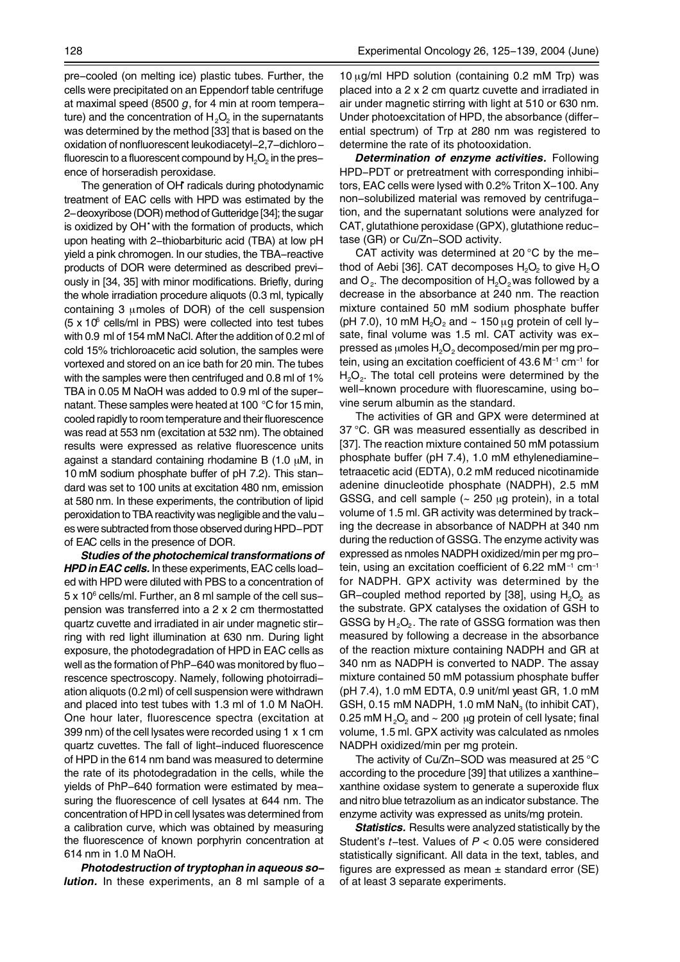The generation of OH<sup>\*</sup> radicals during photodynamic treatment of EAC cells with HPD was estimated by the 2-deoxyribose (DOR) method of Gutteridge [34]; the sugar is oxidized by OH<sup>•</sup> with the formation of products, which upon heating with 2-thiobarbituric acid (TBA) at low pH yield a pink chromogen. In our studies, the TBA-reactive products of DOR were determined as described previously in [34, 35] with minor modifications. Briefly, during the whole irradiation procedure aliquots (0.3 ml, typically containing 3 µmoles of DOR) of the cell suspension  $(5 \times 10^6 \text{ cells/ml}$  in PBS) were collected into test tubes with 0.9 ml of 154 mM NaCl. After the addition of 0.2 ml of cold 15% trichloroacetic acid solution, the samples were vortexed and stored on an ice bath for 20 min. The tubes with the samples were then centrifuged and 0.8 ml of 1% TBA in 0.05 M NaOH was added to 0.9 ml of the supernatant. These samples were heated at 100 °C for 15 min, cooled rapidly to room temperature and their fluorescence was read at 553 nm (excitation at 532 nm). The obtained results were expressed as relative fluorescence units against a standard containing rhodamine B  $(1.0 \mu M)$ , in 10 mM sodium phosphate buffer of pH 7.2). This standard was set to 100 units at excitation 480 nm, emission at 580 nm. In these experiments, the contribution of lipid peroxidation to TBA reactivity was negligible and the values were subtracted from those observed during HPD-PDT of EAC cells in the presence of DOR.

*Studies of the photochemical transformations of HPD in EAC cells.* In these experiments, EAC cells loaded with HPD were diluted with PBS to a concentration of 5 x 10<sup>6</sup> cells/ml. Further, an 8 ml sample of the cell suspension was transferred into a 2 x 2 cm thermostatted quartz cuvette and irradiated in air under magnetic stirring with red light illumination at 630 nm. During light exposure, the photodegradation of HPD in EAC cells as well as the formation of PhP-640 was monitored by fluorescence spectroscopy. Namely, following photoirradiation aliquots (0.2 ml) of cell suspension were withdrawn and placed into test tubes with 1.3 ml of 1.0 M NaOH. One hour later, fluorescence spectra (excitation at 399 nm) of the cell lysates were recorded using 1 x 1 cm quartz cuvettes. The fall of light-induced fluorescence of HPD in the 614 nm band was measured to determine the rate of its photodegradation in the cells, while the yields of PhP-640 formation were estimated by measuring the fluorescence of cell lysates at 644 nm. The concentration of HPD in cell lysates was determined from a calibration curve, which was obtained by measuring the fluorescence of known porphyrin concentration at 614 nm in 1.0 M NaOH.

*Photodestruction of tryptophan in aqueous solution.* In these experiments, an 8 ml sample of a 10 µg/ml HPD solution (containing 0.2 mM Trp) was placed into a 2 x 2 cm quartz cuvette and irradiated in air under magnetic stirring with light at 510 or 630 nm. Under photoexcitation of HPD, the absorbance (differential spectrum) of Trp at 280 nm was registered to determine the rate of its photooxidation.

*Determination of enzyme activities.* Following HPD-PDT or pretreatment with corresponding inhibitors, EAC cells were lysed with 0.2% Triton X-100. Any non-solubilized material was removed by centrifugation, and the supernatant solutions were analyzed for CAT, glutathione peroxidase (GPX), glutathione reductase (GR) or Cu/Zn-SOD activity.

CAT activity was determined at 20 °C by the method of Aebi [36]. CAT decomposes  $H_2O_2$  to give  $H_2O$ and  $O<sub>2</sub>$ . The decomposition of  $H<sub>2</sub>O<sub>2</sub>$  was followed by a decrease in the absorbance at 240 nm. The reaction mixture contained 50 mM sodium phosphate buffer (pH 7.0), 10 mM  $H_2O_2$  and  $\sim$  150  $\mu$ g protein of cell lysate, final volume was 1.5 ml. CAT activity was expressed as  $\mu$ moles H<sub>2</sub>O<sub>2</sub> decomposed/min per mg protein, using an excitation coefficient of 43.6 M-1 cm-1 for  $H<sub>2</sub>O<sub>2</sub>$ . The total cell proteins were determined by the well-known procedure with fluorescamine, using bovine serum albumin as the standard.

The activities of GR and GPX were determined at 37 °C. GR was measured essentially as described in [37]. The reaction mixture contained 50 mM potassium phosphate buffer (pH 7.4), 1.0 mM ethylenediaminetetraacetic acid (EDTA), 0.2 mM reduced nicotinamide adenine dinucleotide phosphate (NADPH), 2.5 mM GSSG, and cell sample  $\sim$  250  $\mu$ g protein), in a total volume of 1.5 ml. GR activity was determined by tracking the decrease in absorbance of NADPH at 340 nm during the reduction of GSSG. The enzyme activity was expressed as nmoles NADPH oxidized/min per mg protein, using an excitation coefficient of 6.22 mM $^{-1}$  cm $^{-1}$ for NADPH. GPX activity was determined by the GR-coupled method reported by [38], using  $H_2O_2$  as the substrate. GPX catalyses the oxidation of GSH to GSSG by H<sub>2</sub>O<sub>2</sub>. The rate of GSSG formation was then measured by following a decrease in the absorbance of the reaction mixture containing NADPH and GR at 340 nm as NADPH is converted to NADP. The assay mixture contained 50 mM potassium phosphate buffer (pH 7.4), 1.0 mM EDTA, 0.9 unit/ml yeast GR, 1.0 mM GSH, 0.15 mM NADPH, 1.0 mM NaN $_3$  (to inhibit CAT), 0.25 mM  $H_2O_2$  and  $\sim$  200 µg protein of cell lysate; final volume, 1.5 ml. GPX activity was calculated as nmoles NADPH oxidized/min per mg protein.

The activity of Cu/Zn-SOD was measured at 25 °C according to the procedure [39] that utilizes a xanthinexanthine oxidase system to generate a superoxide flux and nitro blue tetrazolium as an indicator substance. The enzyme activity was expressed as units/mg protein.

*Statistics.* Results were analyzed statistically by the Student's *t*-test. Values of *P* < 0.05 were considered statistically significant. All data in the text, tables, and figures are expressed as mean  $\pm$  standard error (SE) of at least 3 separate experiments.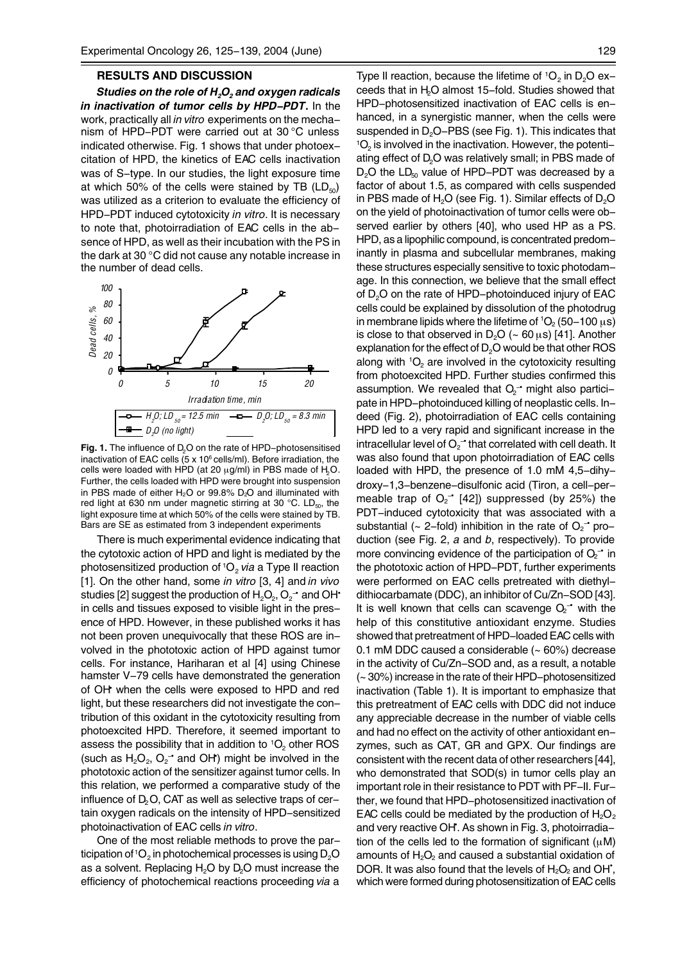#### **RESULTS AND DISCUSSION**

*Studies on the role of H<sub>2</sub>O<sub>2</sub> and oxygen radicals in inactivation of tumor cells by HPD-PDT.* In the work, practically all *in vitro* experiments on the mechanism of HPD-PDT were carried out at 30 °C unless indicated otherwise. Fig. 1 shows that under photoexcitation of HPD, the kinetics of EAC cells inactivation was of S-type. In our studies, the light exposure time at which 50% of the cells were stained by TB  $(LD_{50})$ was utilized as a criterion to evaluate the efficiency of HPD-PDT induced cytotoxicity *in vitro*. It is necessary to note that, photoirradiation of EAC cells in the absence of HPD, as well as their incubation with the PS in the dark at 30 °C did not cause any notable increase in the number of dead cells.



Fig. 1. The influence of D<sub>2</sub>O on the rate of HPD-photosensitised inactivation of EAC cells (5 x 10<sup>6</sup> cells/ml). Before irradiation, the cells were loaded with HPD (at 20  $\mu$ g/ml) in PBS made of H<sub>2</sub>O. Further, the cells loaded with HPD were brought into suspension in PBS made of either  $H_2O$  or 99.8%  $D_2O$  and illuminated with red light at 630 nm under magnetic stirring at 30 °C. LD $_{50}$ , the light exposure time at which 50% of the cells were stained by TB. Bars are SE as estimated from 3 independent experiments

There is much experimental evidence indicating that the cytotoxic action of HPD and light is mediated by the photosensitized production of <sup>1</sup>O<sub>2</sub> via a Type II reaction [1]. On the other hand, some *in vitro* [3, 4] and *in vivo* studies [2] suggest the production of  ${\sf H}_{\tiny 2} {\sf O}_{\tiny 2}$ ,  ${\sf O}_{\tiny 2}$  and OH $^{\centerdot}$ in cells and tissues exposed to visible light in the presence of HPD. However, in these published works it has not been proven unequivocally that these ROS are involved in the phototoxic action of HPD against tumor cells. For instance, Hariharan et al [4] using Chinese hamster V-79 cells have demonstrated the generation of OH<sup>+</sup> when the cells were exposed to HPD and red light, but these researchers did not investigate the contribution of this oxidant in the cytotoxicity resulting from photoexcited HPD. Therefore, it seemed important to assess the possibility that in addition to  ${}^{1}O_{2}$  other ROS (such as  $H_2O_2$ ,  $O_2$ <sup>-</sup> and OH) might be involved in the phototoxic action of the sensitizer against tumor cells. In this relation, we performed a comparative study of the influence of  $D<sub>2</sub>O$ , CAT as well as selective traps of certain oxygen radicals on the intensity of HPD-sensitized photoinactivation of EAC cells *in vitro*.

One of the most reliable methods to prove the participation of  ${}^{1}O_{2}$  in photochemical processes is using  $D_{2}O$ as a solvent. Replacing  $H<sub>2</sub>O$  by D<sub>2</sub>O must increase the efficiency of photochemical reactions proceeding *via* a Type II reaction, because the lifetime of  $10<sub>2</sub>$  in D<sub>2</sub>O exceeds that in H2O almost 15-fold. Studies showed that HPD-photosensitized inactivation of EAC cells is enhanced, in a synergistic manner, when the cells were suspended in D<sub>2</sub>O-PBS (see Fig. 1). This indicates that  $10<sub>2</sub>$  is involved in the inactivation. However, the potentiating effect of D<sub>2</sub>O was relatively small; in PBS made of  $D<sub>2</sub>O$  the  $LD<sub>50</sub>$  value of HPD-PDT was decreased by a factor of about 1.5, as compared with cells suspended in PBS made of  $H<sub>2</sub>O$  (see Fig. 1). Similar effects of  $D<sub>2</sub>O$ on the yield of photoinactivation of tumor cells were observed earlier by others [40], who used HP as a PS. HPD, as a lipophilic compound, is concentrated predominantly in plasma and subcellular membranes, making these structures especially sensitive to toxic photodamage. In this connection, we believe that the small effect of D<sub>2</sub>O on the rate of HPD-photoinduced injury of EAC cells could be explained by dissolution of the photodrug in membrane lipids where the lifetime of  ${}^{1}O_{2}$  (50–100  $\mu$ s) is close to that observed in  $D_2O$  (~ 60  $\mu$ s) [41]. Another explanation for the effect of  $D_2O$  would be that other ROS along with  ${}^{1}O_{2}$  are involved in the cytotoxicity resulting from photoexcited HPD. Further studies confirmed this assumption. We revealed that  $O_2$  might also participate in HPD-photoinduced killing of neoplastic cells. Indeed (Fig. 2), photoirradiation of EAC cells containing HPD led to a very rapid and significant increase in the intracellular level of  $O_2$ <sup>-•</sup> that correlated with cell death. It was also found that upon photoirradiation of EAC cells loaded with HPD, the presence of 1.0 mM 4,5-dihydroxy-1,3-benzene-disulfonic acid (Tiron, a cell-permeable trap of  $O_2$ <sup>-</sup> [42]) suppressed (by 25%) the PDT-induced cytotoxicity that was associated with a substantial ( $\sim$  2-fold) inhibition in the rate of  $O_2$ <sup>-</sup> production (see Fig. 2, *a* and *b*, respectively). To provide more convincing evidence of the participation of  $O_2$ <sup>-</sup> in the phototoxic action of HPD-PDT, further experiments were performed on EAC cells pretreated with diethyldithiocarbamate (DDC), an inhibitor of Cu/Zn-SOD [43]. It is well known that cells can scavenge  $O<sub>2</sub>$  with the help of this constitutive antioxidant enzyme. Studies showed that pretreatment of HPD-loaded EAC cells with 0.1 mM DDC caused a considerable (~ 60%) decrease in the activity of Cu/Zn-SOD and, as a result, a notable (~ 30%) increase in the rate of their HPD-photosensitized inactivation (Table 1). It is important to emphasize that this pretreatment of EAC cells with DDC did not induce any appreciable decrease in the number of viable cells and had no effect on the activity of other antioxidant enzymes, such as CAT, GR and GPX. Our findings are consistent with the recent data of other researchers [44], who demonstrated that SOD(s) in tumor cells play an important role in their resistance to PDT with PF-II. Further, we found that HPD-photosensitized inactivation of EAC cells could be mediated by the production of  $H_2O_2$ and very reactive OH<sup>\*</sup>. As shown in Fig. 3, photoirradiation of the cells led to the formation of significant  $(\mu M)$ amounts of  $H_2O_2$  and caused a substantial oxidation of DOR. It was also found that the levels of  $H_2O_2$  and OH<sup> $\dot{ }$ </sup>, which were formed during photosensitization of EAC cells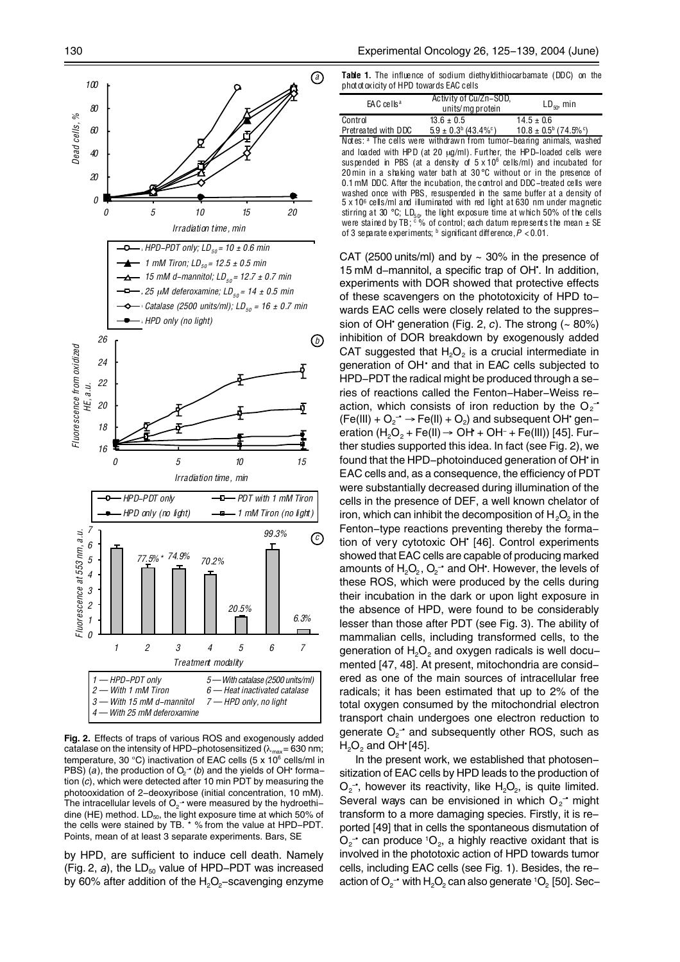

**Fig. 2.** Effects of traps of various ROS and exogenously added catalase on the intensity of HPD-photosensitized ( $\lambda_{\text{max}} = 630$  nm; temperature, 30 °C) inactivation of EAC cells (5 x 10 $^{\circ}$  cells/ml in PBS) (a), the production of  $O<sub>2</sub>$ <sup>-</sup> (*b*) and the yields of OH• formation (*c*), which were detected after 10 min PDT by measuring the photooxidation of 2-deoxyribose (initial concentration, 10 mM). The intracellular levels of  $\mathrm{O}_{2}$   $\rightarrow$  were measured by the hydroethi– dine (HE) method.  $LD_{50}$ , the light exposure time at which 50% of the cells were stained by TB. \* % from the value at HPD-PDT. Points, mean of at least 3 separate experiments. Bars, SE

by HPD, are sufficient to induce cell death. Namely (Fig. 2,  $a$ ), the LD<sub>50</sub> value of HPD-PDT was increased by 60% after addition of the  $H_2O_2$ -scavenging enzyme

**Table 1.** The influence of sodium diethyldithiocarbamate (DDC) on the phototoxicity of HPD towards EAC cells

| EAC cells <sup>a</sup> | Activity of Cu/Zn-SOD,<br>units/mg protein                                              | $LD_{50}$ , min |
|------------------------|-----------------------------------------------------------------------------------------|-----------------|
| Control                | $13.6 \pm 0.5$                                                                          | $14.5 \pm 0.6$  |
|                        | Pretreated with DDC $5.9 \pm 0.3^b (43.4\%^c)$ $10.8 \pm 0.5^b (74.5\%^c)$              |                 |
|                        | Notes: a The cells were withdrawn from tumor-bearing animals, washed                    |                 |
|                        | and loaded with HPD (at 20 $\mu$ g/ml). Further, the HPD-loaded cells were              |                 |
|                        | suspended in PBS (at a density of $5 \times 10^6$ cells/ml) and incubated for           |                 |
|                        | 20 min in a shaking water bath at $30^{\circ}$ C without or in the presence of          |                 |
|                        | 0.1 mM DDC. After the incubation, the control and DDC-treated cells were                |                 |
|                        | washed once with PBS, resuspended in the same buffer at a density of                    |                 |
|                        | $5 \times 10^6$ cells/ml and illuminated with red light at 630 nm under magnetic        |                 |
|                        | stirring at 30 °C; LD <sub>50</sub> , the light exposure time at which 50% of the cells |                 |
|                        | were stained by TB; $\degree$ % of control; each datum represents the mean $\pm$ SE     |                 |
|                        | of 3 separate experiments; $\frac{b}{c}$ significant difference, $P < 0.01$ .           |                 |

CAT (2500 units/ml) and by  $\sim$  30% in the presence of 15 mM d-mannitol, a specific trap of OH<sup>\*</sup>. In addition, experiments with DOR showed that protective effects of these scavengers on the phototoxicity of HPD towards EAC cells were closely related to the suppression of OH• generation (Fig. 2, *c*). The strong (~ 80%) inhibition of DOR breakdown by exogenously added CAT suggested that  $H_2O_2$  is a crucial intermediate in generation of OH• and that in EAC cells subjected to HPD-PDT the radical might be produced through a series of reactions called the Fenton-Haber-Weiss reaction, which consists of iron reduction by the O<sub>2</sub><sup>-</sup>  $(Fe(III) + O_2^- \rightarrow Fe(II) + O_2)$  and subsequent OH generation (H<sub>2</sub>O<sub>2</sub> + Fe(II) → OH + OH + Fe(III)) [45]. Fur– ther studies supported this idea. In fact (see Fig. 2), we found that the HPD-photoinduced generation of OH• in EAC cells and, as a consequence, the efficiency of PDT were substantially decreased during illumination of the cells in the presence of DEF, a well known chelator of iron, which can inhibit the decomposition of  $H_2O_2$  in the Fenton-type reactions preventing thereby the formation of very cytotoxic OH<sup>\*</sup> [46]. Control experiments showed that EAC cells are capable of producing marked amounts of  ${\sf H}_{\tiny 2} {\sf O}_{\tiny 2}$ ,  ${\sf O}_{\tiny 2}$  and OH . However, the levels of these ROS, which were produced by the cells during their incubation in the dark or upon light exposure in the absence of HPD, were found to be considerably lesser than those after PDT (see Fig. 3). The ability of mammalian cells, including transformed cells, to the generation of H<sub>2</sub>O<sub>2</sub> and oxygen radicals is well documented [47, 48]. At present, mitochondria are considered as one of the main sources of intracellular free radicals; it has been estimated that up to 2% of the total oxygen consumed by the mitochondrial electron transport chain undergoes one electron reduction to generate  $O_2$ <sup>-</sup> and subsequently other ROS, such as  $H_2O_2$  and OH [45].

In the present work, we established that photosensitization of EAC cells by HPD leads to the production of  $O_2$ , however its reactivity, like  $H_2O_2$ , is quite limited. Several ways can be envisioned in which  $O_2$  might transform to a more damaging species. Firstly, it is reported [49] that in cells the spontaneous dismutation of  $O_2$ <sup>-</sup> can produce <sup>1</sup>O<sub>2</sub>, a highly reactive oxidant that is involved in the phototoxic action of HPD towards tumor cells, including EAC cells (see Fig. 1). Besides, the reaction of  $\mathrm{O_2}$   $\!\star$  with  $\mathrm{H_2O_2}$  can also generate  $^1\mathrm{O_2}$  [50]. Sec–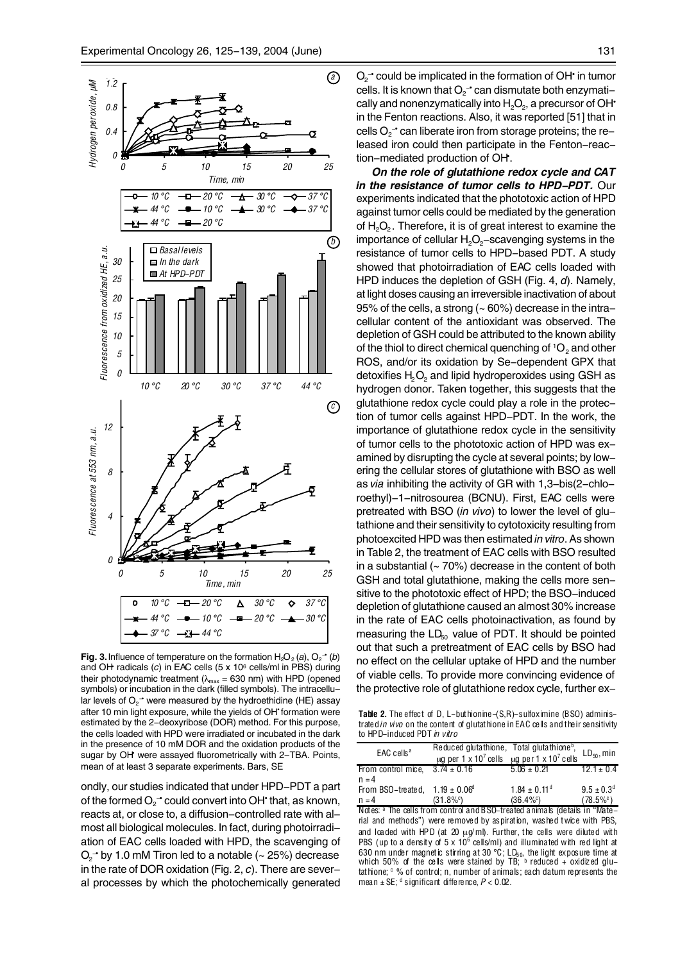

**Fig. 3.** Influence of temperature on the formation  $H_2O_2$  (*a*),  $O_2^{\bullet}$  (*b*) and OH• radicals (*c*) in EAC cells (5 x 106 cells/ml in PBS) during their photodynamic treatment ( $\lambda_{\text{max}}$  = 630 nm) with HPD (opened symbols) or incubation in the dark (filled symbols). The intracellular levels of  $\mathrm{O_2}^{\scriptscriptstyle -}$  were measured by the hydroethidine (HE) assay after 10 min light exposure, while the yields of OH' formation were estimated by the 2-deoxyribose (DOR) method. For this purpose, the cells loaded with HPD were irradiated or incubated in the dark in the presence of 10 mM DOR and the oxidation products of the sugar by OH<sup>\*</sup> were assayed fluorometrically with 2-TBA. Points, mean of at least 3 separate experiments. Bars, SE

ondly, our studies indicated that under HPD-PDT a part of the formed  $\mathrm{O_{2}^{\mathbf{-\bullet}}}$  could convert into OH $^{\mathbf{+}}$  that, as known, reacts at, or close to, a diffusion-controlled rate with almost all biological molecules. In fact, during photoirradiation of EAC cells loaded with HPD, the scavenging of  $\mathrm{O_{2}^{\mathbf{-\cdot}}}$  by 1.0 mM Tiron led to a notable (~ 25%) decrease in the rate of DOR oxidation (Fig. 2, *c*). There are several processes by which the photochemically generated

 $O_2$ <sup>-</sup> could be implicated in the formation of OH<sup>•</sup> in tumor cells. It is known that  $\mathrm{O_{2}}$  an dismutate both enzymati– cally and nonenzymatically into  $H_2O_2$ , a precursor of OH $^{\bullet}$ in the Fenton reactions. Also, it was reported [51] that in cells  $O_2$  can liberate iron from storage proteins; the released iron could then participate in the Fenton-reaction-mediated production of OH.

*On the role of glutathione redox cycle and CAT in the resistance of tumor cells to HPD-PDT.* Our experiments indicated that the phototoxic action of HPD against tumor cells could be mediated by the generation of  $H_2O_2$ . Therefore, it is of great interest to examine the importance of cellular  $H_2O_2$ -scavenging systems in the resistance of tumor cells to HPD-based PDT. A study showed that photoirradiation of EAC cells loaded with HPD induces the depletion of GSH (Fig. 4, *d*). Namely, at light doses causing an irreversible inactivation of about 95% of the cells, a strong  $($   $\sim$  60%) decrease in the intracellular content of the antioxidant was observed. The depletion of GSH could be attributed to the known ability of the thiol to direct chemical quenching of  ${}^{1}O_{2}$  and other ROS, and/or its oxidation by Se-dependent GPX that detoxifies  $H_2O_2$  and lipid hydroperoxides using GSH as hydrogen donor. Taken together, this suggests that the glutathione redox cycle could play a role in the protection of tumor cells against HPD-PDT. In the work, the importance of glutathione redox cycle in the sensitivity of tumor cells to the phototoxic action of HPD was examined by disrupting the cycle at several points; by lowering the cellular stores of glutathione with BSO as well as *via* inhibiting the activity of GR with 1,3-bis(2-chloroethyl)-1-nitrosourea (BCNU). First, EAC cells were pretreated with BSO (*in vivo*) to lower the level of glutathione and their sensitivity to cytotoxicity resulting from photoexcited HPD was then estimated *in vitro*. As shown in Table 2, the treatment of EAC cells with BSO resulted in a substantial  $(-70%)$  decrease in the content of both GSH and total glutathione, making the cells more sensitive to the phototoxic effect of HPD; the BSO-induced depletion of glutathione caused an almost 30% increase in the rate of EAC cells photoinactivation, as found by measuring the  $LD_{50}$  value of PDT. It should be pointed out that such a pretreatment of EAC cells by BSO had no effect on the cellular uptake of HPD and the number of viable cells. To provide more convincing evidence of the protective role of glutathione redox cycle, further ex-

**Table 2.** The effect of D, L-buthionine-(S,R)-sulfoximine (BSO) administrated *in vivo* on the content of glutathione in EAC cells and their sensitivity to HPD-induced PDT *in vitro*

| $EAC$ cells <sup>a</sup>                  | $\mu$ g per 1 x 10 <sup>7</sup> cells                   | Reduced glutathione, Total glutathione <sup>b</sup> ,<br>$\mu$ g per 1 x 10 <sup>7</sup> cells                                                                                                                                                                                                                                                                                                                                                                                                                                                                                         | $LD_{50}$ , min            |
|-------------------------------------------|---------------------------------------------------------|----------------------------------------------------------------------------------------------------------------------------------------------------------------------------------------------------------------------------------------------------------------------------------------------------------------------------------------------------------------------------------------------------------------------------------------------------------------------------------------------------------------------------------------------------------------------------------------|----------------------------|
| From control mice.                        | $3.74 \pm 0.16$                                         | $5.06 \pm 0.21$                                                                                                                                                                                                                                                                                                                                                                                                                                                                                                                                                                        | $12.1 \pm 0.4$             |
| $n = 4$                                   |                                                         |                                                                                                                                                                                                                                                                                                                                                                                                                                                                                                                                                                                        |                            |
| From BSO-treated, $1.19 \pm 0.06^{\circ}$ |                                                         | $1.84 \pm 0.11$ <sup>d</sup>                                                                                                                                                                                                                                                                                                                                                                                                                                                                                                                                                           | $9.5 \pm 0.3$ <sup>d</sup> |
| $n = 4$                                   | $(31.8\%$ <sup>c</sup> )                                | $(36.4\%^{\circ})$                                                                                                                                                                                                                                                                                                                                                                                                                                                                                                                                                                     | $(78.5\%^{\circ})$         |
|                                           |                                                         | Notes: a The cells from control and BSO-treated animals (details in "Mate-<br>rial and methods") were removed by aspiration, washed twice with PBS,<br>and loaded with HPD (at 20 $\mu$ g/ml). Further, the cells were diluted with<br>PBS (up to a density of $5 \times 10^6$ cells/ml) and illuminated with red light at<br>630 nm under magnetic stirring at 30 °C; $LD_{50}$ , the light exposure time at<br>which 50% of the cells were stained by TB; $\frac{b}{c}$ reduced + oxidized glu-<br>tathione; $\degree$ % of control; n, number of animals; each datum represents the |                            |
|                                           | mean $\pm$ SE; $d$ significant difference, $P < 0.02$ . |                                                                                                                                                                                                                                                                                                                                                                                                                                                                                                                                                                                        |                            |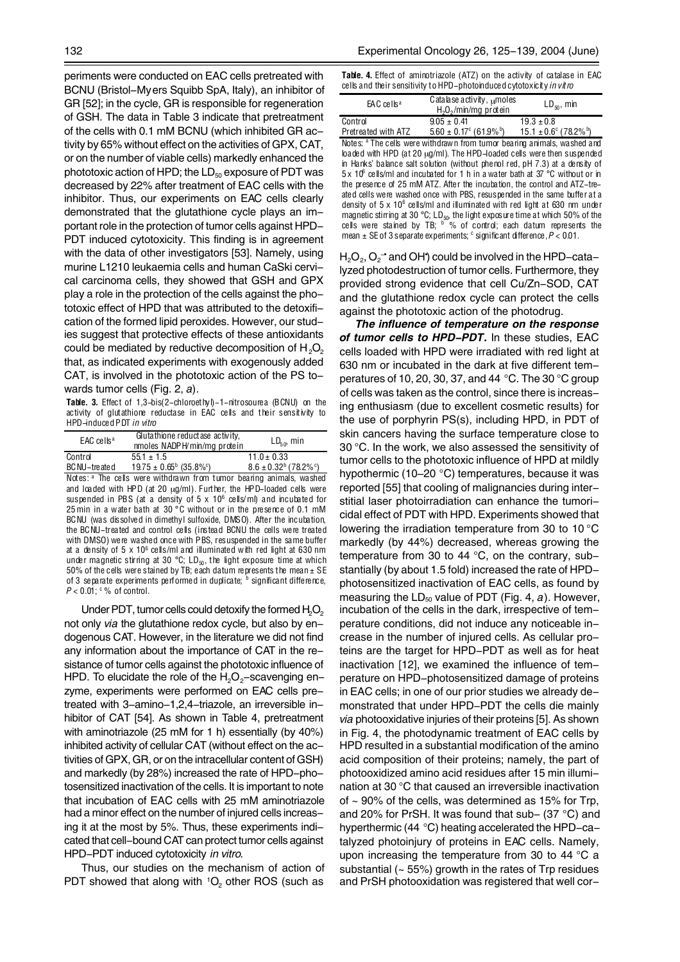periments were conducted on EAC cells pretreated with BCNU (Bristol-Myers Squibb SpA, Italy), an inhibitor of GR [52]; in the cycle, GR is responsible for regeneration of GSH. The data in Table 3 indicate that pretreatment of the cells with 0.1 mM BCNU (which inhibited GR activity by 65% without effect on the activities of GPX, CAT, or on the number of viable cells) markedly enhanced the phototoxic action of HPD; the  $LD_{50}$  exposure of PDT was decreased by 22% after treatment of EAC cells with the inhibitor. Thus, our experiments on EAC cells clearly demonstrated that the glutathione cycle plays an important role in the protection of tumor cells against HPD-PDT induced cytotoxicity. This finding is in agreement with the data of other investigators [53]. Namely, using murine L1210 leukaemia cells and human CaSki cervical carcinoma cells, they showed that GSH and GPX play a role in the protection of the cells against the phototoxic effect of HPD that was attributed to the detoxification of the formed lipid peroxides. However, our studies suggest that protective effects of these antioxidants could be mediated by reductive decomposition of  $H_2O_2$ that, as indicated experiments with exogenously added CAT, is involved in the phototoxic action of the PS towards tumor cells (Fig. 2, *a*).

**Table. 3.** Effect of 1,3-bis(2-chloroethyl)-1-nitrosourea (BCNU) on the activity of glutathione reductase in EAC cells and their sensitivity to HPD-induced PDT *in vitro* 

| $EAC$ cells <sup>a</sup>             | Glutathione reductase activity.<br>nmoles NADPH/min/mg protein | $LD_{50}$ , min                                                                        |
|--------------------------------------|----------------------------------------------------------------|----------------------------------------------------------------------------------------|
| Control                              | $55.1 \pm 1.5$                                                 | $11.0 \pm 0.33$                                                                        |
|                                      |                                                                | BC NU-treated $19.75 \pm 0.65^{\circ}$ (35.8%°) 8.6 $\pm 0.32^{\circ}$ (78.2%°)        |
|                                      |                                                                | Notes: a The cells were withdrawn from tumor bearing animals, washed                   |
|                                      |                                                                | and loaded with HPD (at 20 $\mu$ g/ml). Further, the HPD-loaded cells were             |
|                                      |                                                                | suspended in PBS (at a density of $5 \times 10^6$ cells/ml) and incubated for          |
|                                      |                                                                | 25 min in a water bath at 30 °C without or in the presence of 0.1 mM                   |
|                                      |                                                                | BCNU (was dissolved in dimethyl sulfoxide, DMSO). After the incubation,                |
|                                      |                                                                | the BCNU-treated and control cells (instead BCNU the cells were treated                |
|                                      |                                                                | with DMSO) were washed once with PBS, resuspended in the same buffer                   |
|                                      |                                                                | at a density of $5 \times 10^6$ cells/ml and illuminated with red light at 630 nm      |
|                                      |                                                                | under magnetic stirring at 30 °C; $LD_{\epsilon 0}$ , the light exposure time at which |
|                                      |                                                                | 50% of the cells were stained by TB; each datum represents the mean $\pm$ SE           |
|                                      |                                                                | of 3 separate experiments performed in duplicate; b significant difference,            |
| $P < 0.01$ : $\degree$ % of control. |                                                                |                                                                                        |

Under PDT, tumor cells could detoxify the formed  $H_2O_2$ not only *via* the glutathione redox cycle, but also by endogenous CAT. However, in the literature we did not find any information about the importance of CAT in the resistance of tumor cells against the phototoxic influence of HPD. To elucidate the role of the  $H_2O_2$ -scavenging enzyme, experiments were performed on EAC cells pretreated with 3-amino-1,2,4-triazole, an irreversible inhibitor of CAT [54]. As shown in Table 4, pretreatment with aminotriazole (25 mM for 1 h) essentially (by 40%) inhibited activity of cellular CAT (without effect on the activities of GPX, GR, or on the intracellular content of GSH) and markedly (by 28%) increased the rate of HPD-photosensitized inactivation of the cells. It is important to note that incubation of EAC cells with 25 mM aminotriazole had a minor effect on the number of injured cells increasing it at the most by 5%. Thus, these experiments indicated that cell-bound CAT can protect tumor cells against HPD-PDT induced cytotoxicity *in vitro*.

Thus, our studies on the mechanism of action of PDT showed that along with  ${}^{1}O_{2}$  other ROS (such as

|  |  |  |  |  | <b>Table. 4.</b> Effect of aminotriazole (ATZ) on the activity of catalase in EAC |  |
|--|--|--|--|--|-----------------------------------------------------------------------------------|--|
|  |  |  |  |  | cells and their sensitivity to HPD–photoinduced cytotoxicity <i>in vit ro</i>     |  |

| EAC cells <sup>a</sup> | Catalase activity, $\mu$ moles<br>$H2O2/min/mg$ protein                                         | $LD_{50}$ , min |
|------------------------|-------------------------------------------------------------------------------------------------|-----------------|
| Control                | $9.05 \pm 0.41$                                                                                 | $19.3 \pm 0.8$  |
|                        | Pretreated with ATZ $5.60 \pm 0.17^{\circ}$ (61.9%b) $15.1 \pm 0.6^{\circ}$ (78.2%b)            |                 |
|                        | Notes: <sup>a</sup> The cells were withdrawn from tumor bearing animals, washed and             |                 |
|                        | loaded with HPD (at 20 $\mu$ g/ml). The HPD-loaded cells were then suspended                    |                 |
|                        | in Hanks' balance salt solution (without phenol red, pH 7.3) at a density of                    |                 |
|                        | 5 x 10 $\degree$ cells/ml and incubated for 1 h in a water bath at 37 $\degree$ C without or in |                 |
|                        | the presence of 25 mM ATZ. After the incubation, the control and ATZ-tre-                       |                 |
|                        | ated cells were washed once with PBS, resuspended in the same buffer at a                       |                 |
|                        | density of $5 \times 10^6$ cells/ml and illuminated with red light at 630 nm under              |                 |
|                        | magnetic stirring at 30 °C; LD <sub>50</sub> , the light exposure time at which 50% of the      |                 |
|                        | cells were stained by TB; $\frac{b}{b}$ % of control; each datum represents the                 |                 |
|                        | mean $\pm$ SE of 3 separate experiments; $\textdegree$ significant difference, $P < 0.01$ .     |                 |

 ${\sf H}_{\tiny 2} {\sf O}_{\tiny 2}$ ,  ${\sf O}_{\tiny 2}$  and OH $\bm{\,}$  could be involved in the HPD–cata– lyzed photodestruction of tumor cells. Furthermore, they provided strong evidence that cell Cu/Zn-SOD, CAT and the glutathione redox cycle can protect the cells against the phototoxic action of the photodrug.

*The influence of temperature on the response of tumor cells to HPD-PDT.* In these studies, EAC cells loaded with HPD were irradiated with red light at 630 nm or incubated in the dark at five different temperatures of 10, 20, 30, 37, and 44 °C. The 30 °C group of cells was taken as the control, since there is increasing enthusiasm (due to excellent cosmetic results) for the use of porphyrin PS(s), including HPD, in PDT of skin cancers having the surface temperature close to 30 °C. In the work, we also assessed the sensitivity of tumor cells to the phototoxic influence of HPD at mildly hypothermic (10–20 °C) temperatures, because it was reported [55] that cooling of malignancies during interstitial laser photoirradiation can enhance the tumoricidal effect of PDT with HPD. Experiments showed that lowering the irradiation temperature from 30 to 10 °C markedly (by 44%) decreased, whereas growing the temperature from 30 to 44 °C, on the contrary, substantially (by about 1.5 fold) increased the rate of HPDphotosensitized inactivation of EAC cells, as found by measuring the LD<sub>50</sub> value of PDT (Fig. 4, *a*). However, incubation of the cells in the dark, irrespective of temperature conditions, did not induce any noticeable increase in the number of injured cells. As cellular proteins are the target for HPD-PDT as well as for heat inactivation [12], we examined the influence of temperature on HPD-photosensitized damage of proteins in EAC cells; in one of our prior studies we already demonstrated that under HPD-PDT the cells die mainly *via* photooxidative injuries of their proteins [5]. As shown in Fig. 4, the photodynamic treatment of EAC cells by HPD resulted in a substantial modification of the amino acid composition of their proteins; namely, the part of photooxidized amino acid residues after 15 min illumination at 30 °C that caused an irreversible inactivation of  $\sim$  90% of the cells, was determined as 15% for Trp, and 20% for PrSH. It was found that sub– (37 °C) and hyperthermic (44 °C) heating accelerated the HPD-catalyzed photoinjury of proteins in EAC cells. Namely, upon increasing the temperature from 30 to 44  $\degree$ C a substantial  $($   $\sim$  55%) growth in the rates of Trp residues and PrSH photooxidation was registered that well cor-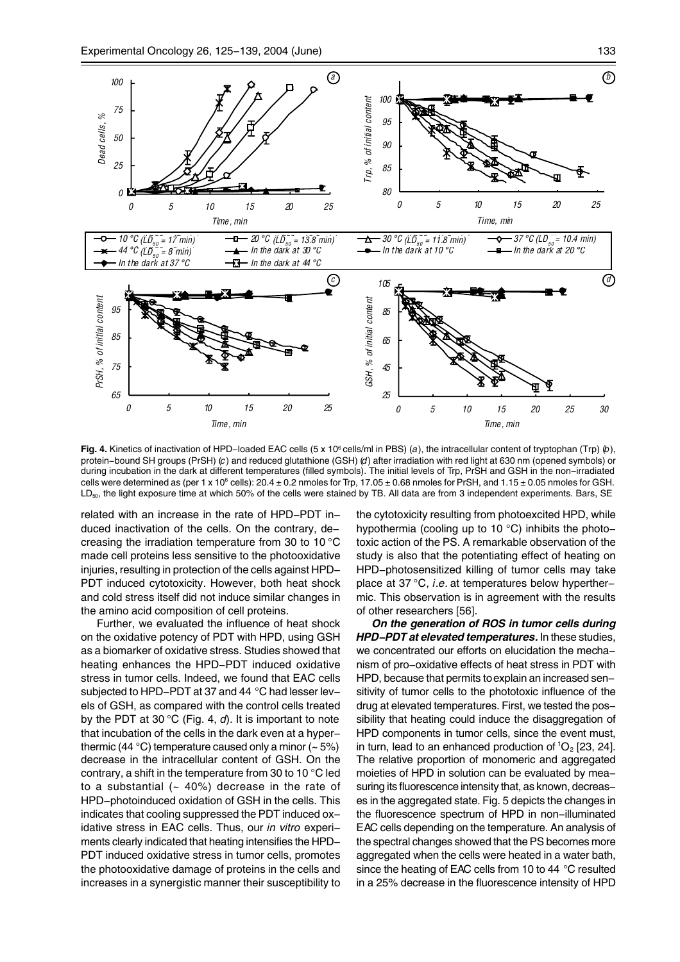

**Fig. 4.** Kinetics of inactivation of HPD–loaded EAC cells (5 x 10<sup>6</sup> cells/ml in PBS) (a), the intracellular content of tryptophan (Trp)  $\langle b \rangle$ , protein-bound SH groups (PrSH) (*c*) and reduced glutathione (GSH) (*d*) after irradiation with red light at 630 nm (opened symbols) or during incubation in the dark at different temperatures (filled symbols). The initial levels of Trp, PrSH and GSH in the non-irradiated cells were determined as (per 1 x 10 $^{\circ}$  cells): 20.4 ± 0.2 nmoles for Trp, 17.05 ± 0.68 nmoles for PrSH, and 1.15 ± 0.05 nmoles for GSH. LD<sub>50</sub>, the light exposure time at which 50% of the cells were stained by TB. All data are from 3 independent experiments. Bars, SE

related with an increase in the rate of HPD-PDT induced inactivation of the cells. On the contrary, decreasing the irradiation temperature from 30 to 10 °C made cell proteins less sensitive to the photooxidative injuries, resulting in protection of the cells against HPD-PDT induced cytotoxicity. However, both heat shock and cold stress itself did not induce similar changes in the amino acid composition of cell proteins.

Further, we evaluated the influence of heat shock on the oxidative potency of PDT with HPD, using GSH as a biomarker of oxidative stress. Studies showed that heating enhances the HPD-PDT induced oxidative stress in tumor cells. Indeed, we found that EAC cells subjected to HPD-PDT at 37 and 44 °C had lesser levels of GSH, as compared with the control cells treated by the PDT at 30 °C (Fig. 4, *d*). It is important to note that incubation of the cells in the dark even at a hyperthermic (44 °C) temperature caused only a minor  $(-5%)$ decrease in the intracellular content of GSH. On the contrary, a shift in the temperature from 30 to 10 °C led to a substantial  $($  40%) decrease in the rate of HPD-photoinduced oxidation of GSH in the cells. This indicates that cooling suppressed the PDT induced oxidative stress in EAC cells. Thus, our *in vitro* experiments clearly indicated that heating intensifies the HPD-PDT induced oxidative stress in tumor cells, promotes the photooxidative damage of proteins in the cells and increases in a synergistic manner their susceptibility to the cytotoxicity resulting from photoexcited HPD, while hypothermia (cooling up to 10 °C) inhibits the phototoxic action of the PS. A remarkable observation of the study is also that the potentiating effect of heating on HPD-photosensitized killing of tumor cells may take place at 37 °C, *i.e.* at temperatures below hyperthermic. This observation is in agreement with the results of other researchers [56].

*On the generation of ROS in tumor cells during HPD-PDT at elevated temperatures.* In these studies, we concentrated our efforts on elucidation the mechanism of pro-oxidative effects of heat stress in PDT with HPD, because that permits to explain an increased sensitivity of tumor cells to the phototoxic influence of the drug at elevated temperatures. First, we tested the possibility that heating could induce the disaggregation of HPD components in tumor cells, since the event must, in turn, lead to an enhanced production of  ${}^{1}O_{2}$  [23, 24]. The relative proportion of monomeric and aggregated moieties of HPD in solution can be evaluated by measuring its fluorescence intensity that, as known, decreases in the aggregated state. Fig. 5 depicts the changes in the fluorescence spectrum of HPD in non-illuminated EAC cells depending on the temperature. An analysis of the spectral changes showed that the PS becomes more aggregated when the cells were heated in a water bath, since the heating of EAC cells from 10 to 44 °C resulted in a 25% decrease in the fluorescence intensity of HPD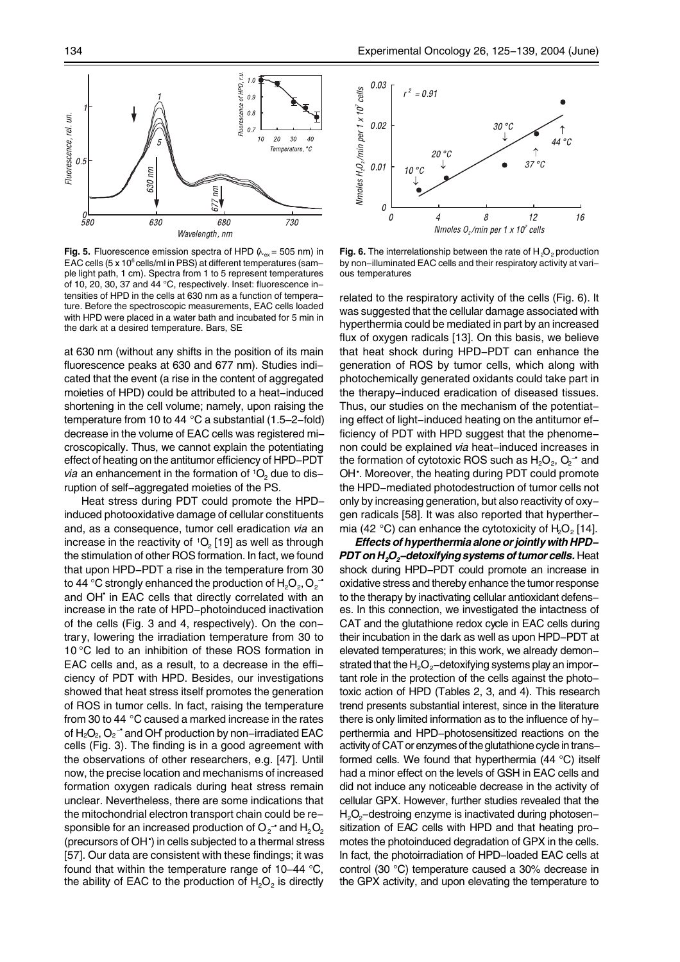

**Fig. 5.** Fluorescence emission spectra of HPD  $(k_{ex} = 505 \text{ nm})$  in EAC cells (5 x 10<sup>6</sup> cells/ml in PBS) at different temperatures (sample light path, 1 cm). Spectra from 1 to 5 represent temperatures of 10, 20, 30, 37 and 44 °C, respectively. Inset: fluorescence intensities of HPD in the cells at 630 nm as a function of temperature. Before the spectroscopic measurements, EAC cells loaded with HPD were placed in a water bath and incubated for 5 min in the dark at a desired temperature. Bars, SE

at 630 nm (without any shifts in the position of its main fluorescence peaks at 630 and 677 nm). Studies indicated that the event (a rise in the content of aggregated moieties of HPD) could be attributed to a heat-induced shortening in the cell volume; namely, upon raising the temperature from 10 to 44 °C a substantial (1.5–2-fold) decrease in the volume of EAC cells was registered microscopically. Thus, we cannot explain the potentiating effect of heating on the antitumor efficiency of HPD-PDT *via* an enhancement in the formation of <sup>1</sup>O<sub>2</sub> due to disruption of self-aggregated moieties of the PS.

Heat stress during PDT could promote the HPDinduced photooxidative damage of cellular constituents and, as a consequence, tumor cell eradication *via* an increase in the reactivity of  ${}^{1}O_{2}$  [19] as well as through the stimulation of other ROS formation. In fact, we found that upon HPD-PDT a rise in the temperature from 30 to 44 °C strongly enhanced the production of  ${\sf H}_{\sf 2}{\sf O}_{\sf 2}$ ,  ${\sf O}_{\sf 2}$   $\vec{\;}$ and OH<sup>\*</sup> in EAC cells that directly correlated with an increase in the rate of HPD-photoinduced inactivation of the cells (Fig. 3 and 4, respectively). On the contrary, lowering the irradiation temperature from 30 to 10 °C led to an inhibition of these ROS formation in EAC cells and, as a result, to a decrease in the efficiency of PDT with HPD. Besides, our investigations showed that heat stress itself promotes the generation of ROS in tumor cells. In fact, raising the temperature from 30 to 44 °C caused a marked increase in the rates of  $H_2O_2$ ,  $O_2$ <sup>-</sup> and OH<sup>†</sup> production by non-irradiated EAC cells (Fig. 3). The finding is in a good agreement with the observations of other researchers, e.g. [47]. Until now, the precise location and mechanisms of increased formation oxygen radicals during heat stress remain unclear. Nevertheless, there are some indications that the mitochondrial electron transport chain could be responsible for an increased production of  $\mathrm{O_{2}}$  and  $\mathrm{H_{2}O_{2}}$ (precursors of OH• ) in cells subjected to a thermal stress [57]. Our data are consistent with these findings; it was found that within the temperature range of 10–44 °C, the ability of EAC to the production of  $H_2O_2$  is directly



**Fig. 6.** The interrelationship between the rate of  $H_2O_2$  production by non-illuminated EAC cells and their respiratory activity at various temperatures

related to the respiratory activity of the cells (Fig. 6). It was suggested that the cellular damage associated with hyperthermia could be mediated in part by an increased flux of oxygen radicals [13]. On this basis, we believe that heat shock during HPD-PDT can enhance the generation of ROS by tumor cells, which along with photochemically generated oxidants could take part in the therapy-induced eradication of diseased tissues. Thus, our studies on the mechanism of the potentiating effect of light-induced heating on the antitumor efficiency of PDT with HPD suggest that the phenomenon could be explained *via* heat-induced increases in the formation of cytotoxic ROS such as  ${\sf H_2O_2},$   ${\sf O_2}$  and OH: Moreover, the heating during PDT could promote the HPD-mediated photodestruction of tumor cells not only by increasing generation, but also reactivity of oxygen radicals [58]. It was also reported that hyperthermia (42 °C) can enhance the cytotoxicity of  $H_2O<sub>2</sub>$  [14].

*Effects of hyperthermia alone or jointly with HPD-PDT on H<sub>2</sub>O<sub>2</sub>-detoxifying systems of tumor cells.* **Heat** shock during HPD-PDT could promote an increase in oxidative stress and thereby enhance the tumor response to the therapy by inactivating cellular antioxidant defenses. In this connection, we investigated the intactness of CAT and the glutathione redox cycle in EAC cells during their incubation in the dark as well as upon HPD-PDT at elevated temperatures; in this work, we already demonstrated that the  $H_2O_2$ -detoxifying systems play an important role in the protection of the cells against the phototoxic action of HPD (Tables 2, 3, and 4). This research trend presents substantial interest, since in the literature there is only limited information as to the influence of hyperthermia and HPD-photosensitized reactions on the activity of CAT or enzymes of the glutathione cycle in transformed cells. We found that hyperthermia (44 °C) itself had a minor effect on the levels of GSH in EAC cells and did not induce any noticeable decrease in the activity of cellular GPX. However, further studies revealed that the H<sub>2</sub>O<sub>2</sub>-destroing enzyme is inactivated during photosensitization of EAC cells with HPD and that heating promotes the photoinduced degradation of GPX in the cells. In fact, the photoirradiation of HPD-loaded EAC cells at control (30 °C) temperature caused a 30% decrease in the GPX activity, and upon elevating the temperature to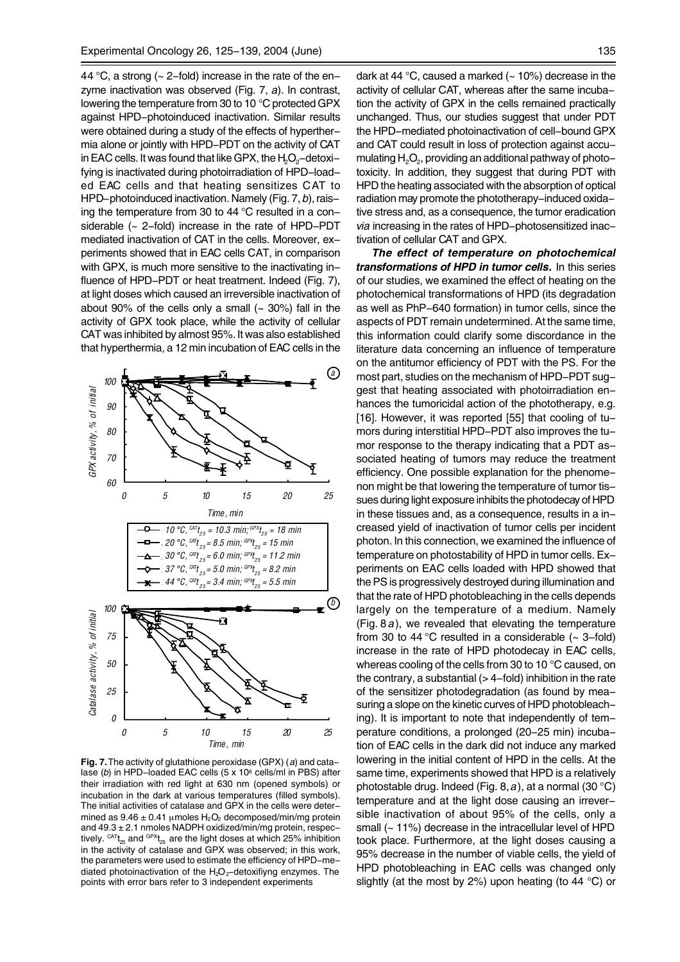44  $\degree$ C, a strong ( $\sim$  2-fold) increase in the rate of the enzyme inactivation was observed (Fig. 7, *a*). In contrast, lowering the temperature from 30 to 10 °C protected GPX against HPD-photoinduced inactivation. Similar results were obtained during a study of the effects of hyperthermia alone or jointly with HPD-PDT on the activity of CAT in EAC cells. It was found that like GPX, the  $H_2O_2$ -detoxifying is inactivated during photoirradiation of HPD-loaded EAC cells and that heating sensitizes CAT to HPD-photoinduced inactivation. Namely (Fig. 7, *b*), raising the temperature from 30 to 44 °C resulted in a considerable (~ 2-fold) increase in the rate of HPD-PDT mediated inactivation of CAT in the cells. Moreover, experiments showed that in EAC cells CAT, in comparison with GPX, is much more sensitive to the inactivating influence of HPD-PDT or heat treatment. Indeed (Fig. 7), at light doses which caused an irreversible inactivation of about 90% of the cells only a small  $(-30%)$  fall in the activity of GPX took place, while the activity of cellular CAT was inhibited by almost 95%. It was also established that hyperthermia, a 12 min incubation of EAC cells in the



**Fig. 7.** The activity of glutathione peroxidase (GPX) (*a*) and catalase (*b*) in HPD-loaded EAC cells (5 x 106 cells/ml in PBS) after their irradiation with red light at 630 nm (opened symbols) or incubation in the dark at various temperatures (filled symbols). The initial activities of catalase and GPX in the cells were determined as  $9.46 \pm 0.41$  µmoles  $H_2O_2$  decomposed/min/mg protein and 49.3 ± 2.1 nmoles NADPH oxidized/min/mg protein, respectively.  $CAT_{t_{25}}$  and  $CPT_{t_{25}}$  are the light doses at which 25% inhibition in the activity of catalase and GPX was observed; in this work, the parameters were used to estimate the efficiency of HPD-mediated photoinactivation of the  $H_2O_2$ -detoxifiyng enzymes. The points with error bars refer to 3 independent experiments

dark at 44 °C, caused a marked  $(-10%)$  decrease in the activity of cellular CAT, whereas after the same incubation the activity of GPX in the cells remained practically unchanged. Thus, our studies suggest that under PDT the HPD-mediated photoinactivation of cell-bound GPX and CAT could result in loss of protection against accumulating  $H_2O_2$ , providing an additional pathway of phototoxicity. In addition, they suggest that during PDT with HPD the heating associated with the absorption of optical radiation may promote the phototherapy-induced oxidative stress and, as a consequence, the tumor eradication *via* increasing in the rates of HPD-photosensitized inactivation of cellular CAT and GPX.

*The effect of temperature on photochemical transformations of HPD in tumor cells.* In this series of our studies, we examined the effect of heating on the photochemical transformations of HPD (its degradation as well as PhP-640 formation) in tumor cells, since the aspects of PDT remain undetermined. At the same time, this information could clarify some discordance in the literature data concerning an influence of temperature on the antitumor efficiency of PDT with the PS. For the most part, studies on the mechanism of HPD-PDT suggest that heating associated with photoirradiation enhances the tumoricidal action of the phototherapy, e.g. [16]. However, it was reported [55] that cooling of tumors during interstitial HPD-PDT also improves the tumor response to the therapy indicating that a PDT associated heating of tumors may reduce the treatment efficiency. One possible explanation for the phenomenon might be that lowering the temperature of tumor tissues during light exposure inhibits the photodecay of HPD in these tissues and, as a consequence, results in a increased yield of inactivation of tumor cells per incident photon. In this connection, we examined the influence of temperature on photostability of HPD in tumor cells. Experiments on EAC cells loaded with HPD showed that the PS is progressively destroyed during illumination and that the rate of HPD photobleaching in the cells depends largely on the temperature of a medium. Namely (Fig. 8 *a*), we revealed that elevating the temperature from 30 to 44  $\degree$ C resulted in a considerable ( $\sim$  3-fold) increase in the rate of HPD photodecay in EAC cells, whereas cooling of the cells from 30 to 10 °C caused, on the contrary, a substantial  $(>4$ -fold) inhibition in the rate of the sensitizer photodegradation (as found by measuring a slope on the kinetic curves of HPD photobleaching). It is important to note that independently of temperature conditions, a prolonged (20-25 min) incubation of EAC cells in the dark did not induce any marked lowering in the initial content of HPD in the cells. At the same time, experiments showed that HPD is a relatively photostable drug. Indeed (Fig. 8, *a*), at a normal (30 °C) temperature and at the light dose causing an irreversible inactivation of about 95% of the cells, only a small (~ 11%) decrease in the intracellular level of HPD took place. Furthermore, at the light doses causing a 95% decrease in the number of viable cells, the yield of HPD photobleaching in EAC cells was changed only slightly (at the most by 2%) upon heating (to 44 °C) or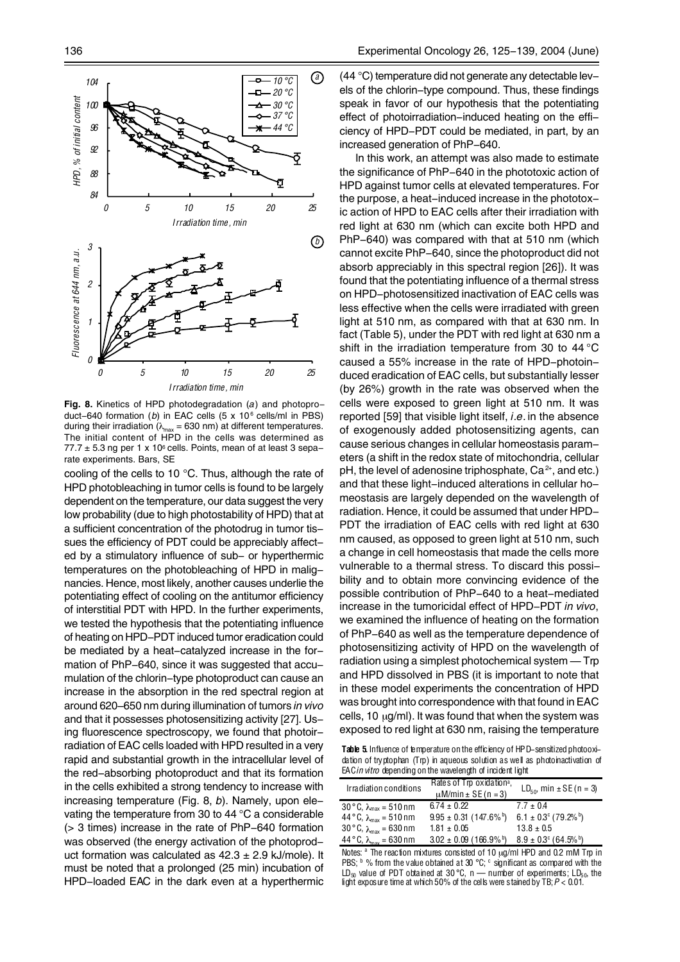

**Fig. 8.** Kinetics of HPD photodegradation (*a*) and photoproduct-640 formation (b) in EAC cells (5 x 10<sup>6</sup> cells/ml in PBS) during their irradiation ( $\lambda_{\text{max}}$  = 630 nm) at different temperatures. The initial content of HPD in the cells was determined as  $77.7 \pm 5.3$  ng per 1 x 10 $\textdegree$  cells. Points, mean of at least 3 separate experiments. Bars, SE

cooling of the cells to 10 °C. Thus, although the rate of HPD photobleaching in tumor cells is found to be largely dependent on the temperature, our data suggest the very low probability (due to high photostability of HPD) that at a sufficient concentration of the photodrug in tumor tissues the efficiency of PDT could be appreciably affected by a stimulatory influence of sub- or hyperthermic temperatures on the photobleaching of HPD in malignancies. Hence, most likely, another causes underlie the potentiating effect of cooling on the antitumor efficiency of interstitial PDT with HPD. In the further experiments, we tested the hypothesis that the potentiating influence of heating on HPD-PDT induced tumor eradication could be mediated by a heat-catalyzed increase in the formation of PhP-640, since it was suggested that accumulation of the chlorin-type photoproduct can cause an increase in the absorption in the red spectral region at around 620–650 nm during illumination of tumors *in vivo* and that it possesses photosensitizing activity [27]. Using fluorescence spectroscopy, we found that photoirradiation of EAC cells loaded with HPD resulted in a very rapid and substantial growth in the intracellular level of the red-absorbing photoproduct and that its formation in the cells exhibited a strong tendency to increase with increasing temperature (Fig. 8, *b*). Namely, upon elevating the temperature from 30 to 44 °C a considerable (> 3 times) increase in the rate of PhP-640 formation was observed (the energy activation of the photoproduct formation was calculated as  $42.3 \pm 2.9$  kJ/mole). It must be noted that a prolonged (25 min) incubation of HPD-loaded EAC in the dark even at a hyperthermic

(44 °C) temperature did not generate any detectable levels of the chlorin-type compound. Thus, these findings speak in favor of our hypothesis that the potentiating effect of photoirradiation-induced heating on the efficiency of HPD-PDT could be mediated, in part, by an increased generation of PhP-640.

In this work, an attempt was also made to estimate the significance of PhP-640 in the phototoxic action of HPD against tumor cells at elevated temperatures. For the purpose, a heat-induced increase in the phototoxic action of HPD to EAC cells after their irradiation with red light at 630 nm (which can excite both HPD and PhP-640) was compared with that at 510 nm (which cannot excite PhP-640, since the photoproduct did not absorb appreciably in this spectral region [26]). It was found that the potentiating influence of a thermal stress on HPD-photosensitized inactivation of EAC cells was less effective when the cells were irradiated with green light at 510 nm, as compared with that at 630 nm. In fact (Table 5), under the PDT with red light at 630 nm a shift in the irradiation temperature from 30 to 44 °C caused a 55% increase in the rate of HPD-photoinduced eradication of EAC cells, but substantially lesser (by 26%) growth in the rate was observed when the cells were exposed to green light at 510 nm. It was reported [59] that visible light itself, *i.e.* in the absence of exogenously added photosensitizing agents, can cause serious changes in cellular homeostasis parameters (a shift in the redox state of mitochondria, cellular pH, the level of adenosine triphosphate,  $Ca<sup>2+</sup>$ , and etc.) and that these light-induced alterations in cellular homeostasis are largely depended on the wavelength of radiation. Hence, it could be assumed that under HPD-PDT the irradiation of EAC cells with red light at 630 nm caused, as opposed to green light at 510 nm, such a change in cell homeostasis that made the cells more vulnerable to a thermal stress. To discard this possibility and to obtain more convincing evidence of the possible contribution of PhP-640 to a heat-mediated increase in the tumoricidal effect of HPD-PDT *in vivo*, we examined the influence of heating on the formation of PhP-640 as well as the temperature dependence of photosensitizing activity of HPD on the wavelength of radiation using a simplest photochemical system — Trp and HPD dissolved in PBS (it is important to note that in these model experiments the concentration of HPD was brought into correspondence with that found in EAC cells, 10  $\mu$ g/ml). It was found that when the system was exposed to red light at 630 nm, raising the temperature

Table 5. Influence of temperature on the efficiency of HPD-sensitized photooxidation of tryptophan (Trp) in aqueous solution as well as photoinactivation of EAC *in vitro* depending on the wavelength of incident light

| Irradiation conditions                          | Rates of Trp oxidation <sup>a</sup> ,<br>$\mu$ M/min $\pm$ SE (n = 3) | $LD_{50}$ , min ± SE (n = 3)                |
|-------------------------------------------------|-----------------------------------------------------------------------|---------------------------------------------|
| 30 °C, $\lambda_{\text{max}} = 510 \text{ nm}$  | $6.74 \pm 0.22$                                                       | $7.7 \pm 0.4$                               |
| 44 °C, $\lambda_{\text{max}} = 510 \text{ nm}$  | $9.95 \pm 0.31$ (147.6% <sup>b</sup> )                                | $6.1 \pm 0.3^{\circ}$ (79.2% <sup>b</sup> ) |
| 30 °C, $\lambda_{\text{max}} = 630 \text{ nm}$  | $1.81 \pm 0.05$                                                       | $13.8 \pm 0.5$                              |
| $44^{\circ}$ C, $\lambda_{\text{max}}$ = 630 nm | $3.02 \pm 0.09$ (166.9% <sup>b</sup> )                                | $8.9 \pm 0.3^{\circ}$ (64.5% <sup>b</sup> ) |

Notes: <sup>a</sup> The reaction mixtures consisted of 10 µg/ml HPD and 0.2 mM Trp in PBS;  $\frac{b}{b}$  % from the value obtained at 30 °C;  $\frac{c}{c}$  significant as compared with the  $LD_{50}$  value of PDT obtained at 30 °C, n — number of experiments; LD<sub>50</sub>, the light exposure time at which 50% of the cells were stained by TB; *P* < 0.01.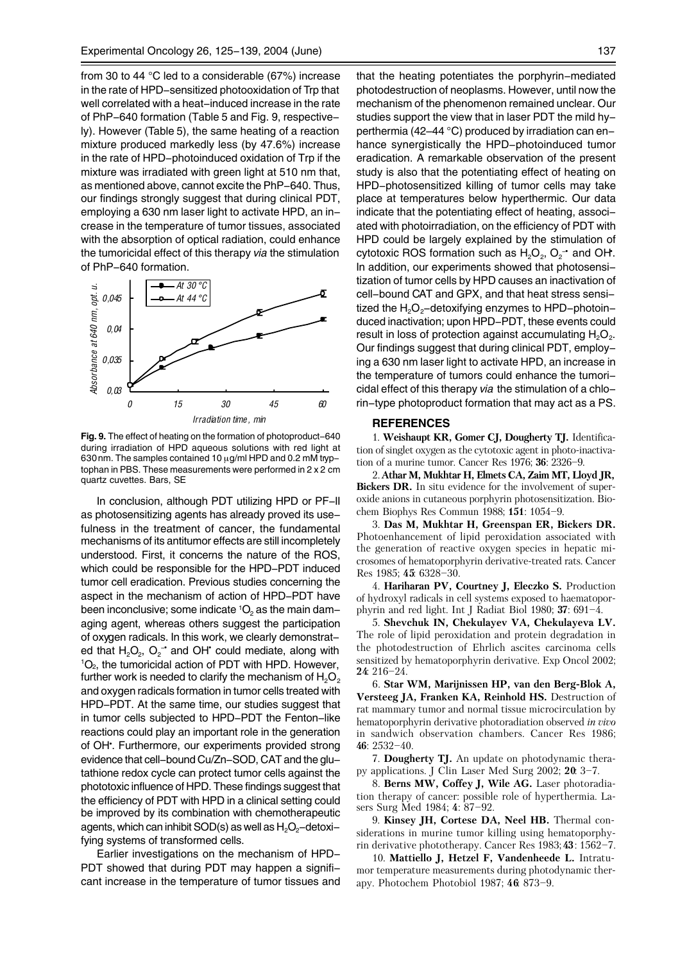from 30 to 44 °C led to a considerable (67%) increase in the rate of HPD-sensitized photooxidation of Trp that well correlated with a heat-induced increase in the rate of PhP-640 formation (Table 5 and Fig. 9, respectively). However (Table 5), the same heating of a reaction mixture produced markedly less (by 47.6%) increase in the rate of HPD-photoinduced oxidation of Trp if the mixture was irradiated with green light at 510 nm that. as mentioned above, cannot excite the PhP-640. Thus, our findings strongly suggest that during clinical PDT, employing a 630 nm laser light to activate HPD, an increase in the temperature of tumor tissues, associated with the absorption of optical radiation, could enhance the tumoricidal effect of this therapy *via* the stimulation of PhP-640 formation.



**Fig. 9.** The effect of heating on the formation of photoproduct-640 during irradiation of HPD aqueous solutions with red light at 630nm. The samples contained 10 µg/ml HPD and 0.2 mM tryptophan in PBS. These measurements were performed in 2 x 2 cm quartz cuvettes. Bars, SE

In conclusion, although PDT utilizing HPD or PF-II as photosensitizing agents has already proved its usefulness in the treatment of cancer, the fundamental mechanisms of its antitumor effects are still incompletely understood. First, it concerns the nature of the ROS, which could be responsible for the HPD-PDT induced tumor cell eradication. Previous studies concerning the aspect in the mechanism of action of HPD-PDT have been inconclusive; some indicate  ${}^{1}O_{2}$  as the main damaging agent, whereas others suggest the participation of oxygen radicals. In this work, we clearly demonstrated that  $H_2O_2$ ,  $O_2$ <sup>-</sup> and OH<sup>•</sup> could mediate, along with  ${}^{1}O_{2}$ , the tumoricidal action of PDT with HPD. However, further work is needed to clarify the mechanism of  $H_2O_2$ and oxygen radicals formation in tumor cells treated with HPD-PDT. At the same time, our studies suggest that in tumor cells subjected to HPD-PDT the Fenton-like reactions could play an important role in the generation of OH<sup>\*</sup>. Furthermore, our experiments provided strong evidence that cell-bound Cu/Zn-SOD, CAT and the glutathione redox cycle can protect tumor cells against the phototoxic influence of HPD. These findings suggest that the efficiency of PDT with HPD in a clinical setting could be improved by its combination with chemotherapeutic agents, which can inhibit SOD(s) as well as  $H_2O_2$ -detoxifying systems of transformed cells.

Earlier investigations on the mechanism of HPD-PDT showed that during PDT may happen a significant increase in the temperature of tumor tissues and that the heating potentiates the porphyrin-mediated photodestruction of neoplasms. However, until now the mechanism of the phenomenon remained unclear. Our studies support the view that in laser PDT the mild hyperthermia (42–44 °C) produced by irradiation can enhance synergistically the HPD-photoinduced tumor eradication. A remarkable observation of the present study is also that the potentiating effect of heating on HPD-photosensitized killing of tumor cells may take place at temperatures below hyperthermic. Our data indicate that the potentiating effect of heating, associated with photoirradiation, on the efficiency of PDT with HPD could be largely explained by the stimulation of cytotoxic ROS formation such as  $H_2O_2$ ,  $O_2$ <sup>-</sup> and OH. In addition, our experiments showed that photosensitization of tumor cells by HPD causes an inactivation of cell-bound CAT and GPX, and that heat stress sensitized the  $H_2O_2$ -detoxifying enzymes to HPD-photoinduced inactivation; upon HPD-PDT, these events could result in loss of protection against accumulating  $H_2O_2$ . Our findings suggest that during clinical PDT, employing a 630 nm laser light to activate HPD, an increase in the temperature of tumors could enhance the tumoricidal effect of this therapy *via* the stimulation of a chlorin-type photoproduct formation that may act as a PS.

#### **REFERENCES**

1. **Weishaupt KR, Gomer CJ, Dougherty TJ.** Identification of singlet oxygen as the cytotoxic agent in photo-inactivation of a murine tumor. Cancer Res 1976; **36**: 2326–9.

2. **Athar M, Mukhtar H, Elmets CA, Zaim MT, Lloyd JR, Bickers DR.** In situ evidence for the involvement of superoxide anions in cutaneous porphyrin photosensitization. Biochem Biophys Res Commun 1988; **151**: 1054–9.

3. **Das M, Mukhtar H, Greenspan ER, Bickers DR.** Photoenhancement of lipid peroxidation associated with the generation of reactive oxygen species in hepatic microsomes of hematoporphyrin derivative-treated rats. Cancer Res 1985; **45**: 6328–30.

4. **Hariharan PV, Courtney J, Eleczko S.** Production of hydroxyl radicals in cell systems exposed to haematoporphyrin and red light. Int J Radiat Biol 1980; **37**: 691–4.

5. **Shevchuk IN, Chekulayev VA, Chekulayeva LV.** The role of lipid peroxidation and protein degradation in the photodestruction of Ehrlich ascites carcinoma cells sensitized by hematoporphyrin derivative. Exp Oncol 2002; **24**: 216–24.

6. **Star WM, Marijnissen HP, van den Berg-Blok A, Versteeg JA, Franken KA, Reinhold HS.** Destruction of rat mammary tumor and normal tissue microcirculation by hematoporphyrin derivative photoradiation observed *in vivo* in sandwich observation chambers. Cancer Res 1986; **46**: 2532–40.

7. **Dougherty TJ.** An update on photodynamic therapy applications. J Clin Laser Med Surg 2002; **20**: 3–7.

8. **Berns MW, Coffey J, Wile AG.** Laser photoradiation therapy of cancer: possible role of hyperthermia. Lasers Surg Med 1984; **4**: 87–92.

9. **Kinsey JH, Cortese DA, Neel HB.** Thermal considerations in murine tumor killing using hematoporphyrin derivative phototherapy. Cancer Res 1983; **43**: 1562–7.

10. **Mattiello J, Hetzel F, Vandenheede L.** Intratumor temperature measurements during photodynamic therapy. Photochem Photobiol 1987; **46**: 873–9.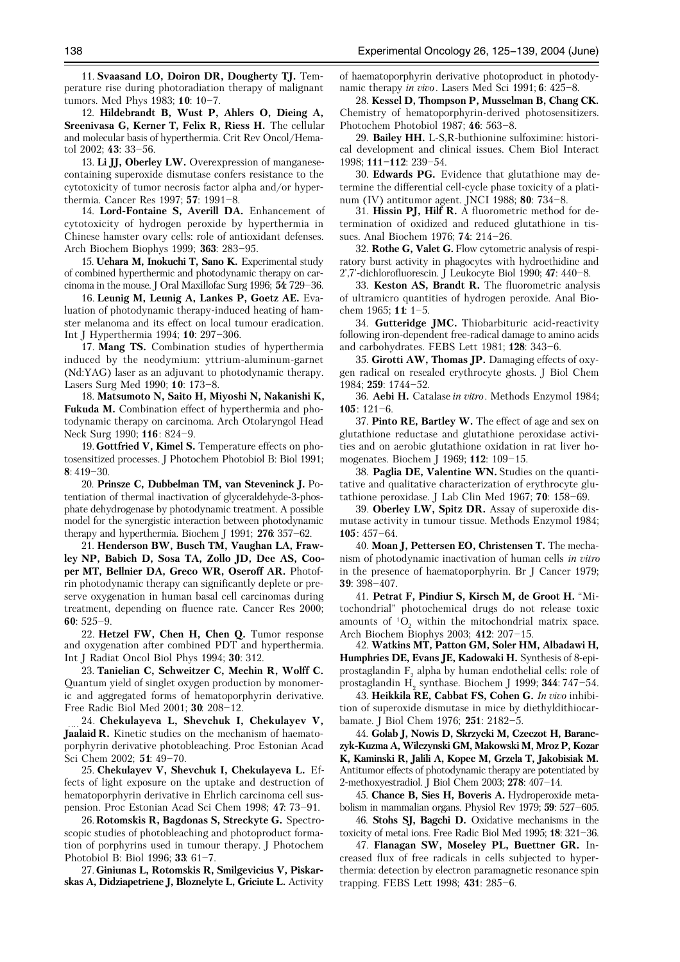11. **Svaasand LO, Doiron DR, Dougherty TJ.** Temperature rise during photoradiation therapy of malignant tumors. Med Phys 1983; **10**: 10–7.

12. **Hildebrandt B, Wust P, Ahlers O, Dieing A, Sreenivasa G, Kerner T, Felix R, Riess H.** The cellular and molecular basis of hyperthermia. Crit Rev Oncol/Hematol 2002; **43**: 33–56.

13. **Li JJ, Oberley LW.** Overexpression of manganesecontaining superoxide dismutase confers resistance to the cytotoxicity of tumor necrosis factor alpha and/or hyperthermia. Cancer Res 1997; **57**: 1991–8.

14. **Lord-Fontaine S, Averill DA.** Enhancement of cytotoxicity of hydrogen peroxide by hyperthermia in Chinese hamster ovary cells: role of antioxidant defenses. Arch Biochem Biophys 1999; **363**: 283–95.

15. **Uehara M, Inokuchi T, Sano K.** Experimental study of combined hyperthermic and photodynamic therapy on carcinoma in the mouse. J Oral Maxillofac Surg 1996; **54**: 729–36.

16. **Leunig M, Leunig A, Lankes P, Goetz AE.** Evaluation of photodynamic therapy-induced heating of hamster melanoma and its effect on local tumour eradication. Int J Hyperthermia 1994; **10**: 297–306.

17. **Mang TS.** Combination studies of hyperthermia induced by the neodymium: yttrium-aluminum-garnet (Nd:YAG) laser as an adjuvant to photodynamic therapy. Lasers Surg Med 1990; **10**: 173–8.

18. **Matsumoto N, Saito H, Miyoshi N, Nakanishi K, Fukuda M.** Combination effect of hyperthermia and photodynamic therapy on carcinoma. Arch Otolaryngol Head Neck Surg 1990; **116**: 824–9.

19. **Gottfried V, Kimel S.** Temperature effects on photosensitized processes. J Photochem Photobiol B: Biol 1991; **8**: 419–30.

20. **Prinsze C, Dubbelman TM, van Steveninck J.** Potentiation of thermal inactivation of glyceraldehyde-3-phosphate dehydrogenase by photodynamic treatment. A possible model for the synergistic interaction between photodynamic therapy and hyperthermia. Biochem J 1991; **276**: 357–62.

21. **Henderson BW, Busch TM, Vaughan LA, Frawley NP, Babich D, Sosa TA, Zollo JD, Dee AS, Cooper MT, Bellnier DA, Greco WR, Oseroff AR.** Photofrin photodynamic therapy can significantly deplete or preserve oxygenation in human basal cell carcinomas during treatment, depending on fluence rate. Cancer Res 2000; **60**: 525–9.

22. **Hetzel FW, Chen H, Chen Q.** Tumor response and oxygenation after combined PDT and hyperthermia. Int J Radiat Oncol Biol Phys 1994; **30**: 312.

23. **Tanielian C, Schweitzer C, Mechin R, Wolff C.** Quantum yield of singlet oxygen production by monomeric and aggregated forms of hematoporphyrin derivative. Free Radic Biol Med 2001; **30**: 208–12.

24. **Chekulayeva L, Shevchuk I, Chekulayev V, Jaalaid R.** Kinetic studies on the mechanism of haemato porphyrin derivative photobleaching. Proc Estonian Acad Sci Chem 2002; **51**: 49–70.

25. **Chekulayev V, Shevchuk I, Chekulayeva L.** Effects of light exposure on the uptake and destruction of hematoporphyrin derivative in Ehrlich carcinoma cell suspension. Proc Estonian Acad Sci Chem 1998; **47**: 73–91.

26. **Rotomskis R, Bagdonas S, Streckyte G.** Spectroscopic studies of photobleaching and photoproduct formation of porphyrins used in tumour therapy. J Photochem Photobiol B: Biol 1996; **33**: 61–7.

27. **Giniunas L, Rotomskis R, Smilgevicius V, Piskarskas A, Didziapetriene J, Bloznelyte L, Griciute L.** Activity

of haematoporphyrin derivative photoproduct in photodynamic therapy *in vivo*. Lasers Med Sci 1991; **6**: 425–8.

28. **Kessel D, Thompson P, Musselman B, Chang CK.** Chemistry of hematoporphyrin-derived photosensitizers. Photochem Photobiol 1987; **46**: 563–8.

29. **Bailey HH.** L-S,R-buthionine sulfoximine: historical development and clinical issues. Chem Biol Interact 1998; **111–112**: 239–54.

30. **Edwards PG.** Evidence that glutathione may determine the differential cell-cycle phase toxicity of a platinum (IV) antitumor agent. JNCI 1988; **80**: 734–8.

31. **Hissin PJ, Hilf R.** A fluorometric method for determination of oxidized and reduced glutathione in tissues. Anal Biochem 1976; **74**: 214–26.

32. **Rothe G, Valet G.** Flow cytometric analysis of respiratory burst activity in phagocytes with hydroethidine and 2',7'-dichlorofluorescin. J Leukocyte Biol 1990; **47**: 440–8.

33. **Keston AS, Brandt R.** The fluorometric analysis of ultramicro quantities of hydrogen peroxide. Anal Biochem 1965; **11**: 1–5.

34. **Gutteridge JMC.** Thiobarbituric acid-reactivity following iron-dependent free-radical damage to amino acids and carbohydrates. FEBS Lett 1981; **128**: 343–6.

35. **Girotti AW, Thomas JP.** Damaging effects of oxygen radical on resealed erythrocyte ghosts. J Biol Chem 1984; **259**: 1744–52.

36. **Aebi H.** Catalase *in vitro*. Methods Enzymol 1984; **105**: 121–6.

37. **Pinto RE, Bartley W.** The effect of age and sex on glutathione reductase and glutathione peroxidase activities and on aerobic glutathione oxidation in rat liver homogenates. Biochem J 1969; **112**: 109–15.

38. **Paglia DE, Valentine WN.** Studies on the quantitative and qualitative characterization of erythrocyte glutathione peroxidase. J Lab Clin Med 1967; **70**: 158–69.

39. **Oberley LW, Spitz DR.** Assay of superoxide dismutase activity in tumour tissue. Methods Enzymol 1984; **105**: 457–64.

40. **Moan J, Pettersen EO, Christensen T.** The mechanism of photodynamic inactivation of human cells *in vitro* in the presence of haematoporphyrin. Br J Cancer 1979; **39**: 398–407.

41. **Petrat F, Pindiur S, Kirsch M, de Groot H.** "Mitochondrial" photochemical drugs do not release toxic amounts of  ${}^{1}O_{2}$  within the mitochondrial matrix space. Arch Biochem Biophys 2003; **412**: 207–15.

42. **Watkins MT, Patton GM, Soler HM, Albadawi H, Humphries DE, Evans JE, Kadowaki H.** Synthesis of 8-epiprostaglandin  $\mathrm{F}_\mathrm{2}$  alpha by human endothelial cells: role of prostaglandin H2 synthase. Biochem J 1999; **344**: 747–54.

43. **Heikkila RE, Cabbat FS, Cohen G.** *In vivo* inhibition of superoxide dismutase in mice by diethyldithiocarbamate. J Biol Chem 1976; **251**: 2182–5.

44. **Golab J, Nowis D, Skrzycki M, Czeczot H, Baranczyk-Kuzma A, Wilczynski GM, Makowski M, Mroz P, Kozar K, Kaminski R, Jalili A, Kopec M, Grzela T, Jakobisiak M.** Antitumor effects of photodynamic therapy are potentiated by 2-methoxyestradiol. J Biol Chem 2003; **278**: 407–14.

45. **Chance B, Sies H, Boveris A.** Hydroperoxide metabolism in mammalian organs. Physiol Rev 1979; **59**: 527–605.

46. **Stohs SJ, Bagchi D.** Oxidative mechanisms in the toxicity of metal ions. Free Radic Biol Med 1995; **18**: 321–36.

47. **Flanagan SW, Moseley PL, Buettner GR.** Increased flux of free radicals in cells subjected to hyperthermia: detection by electron paramagnetic resonance spin trapping. FEBS Lett 1998; **431**: 285–6.